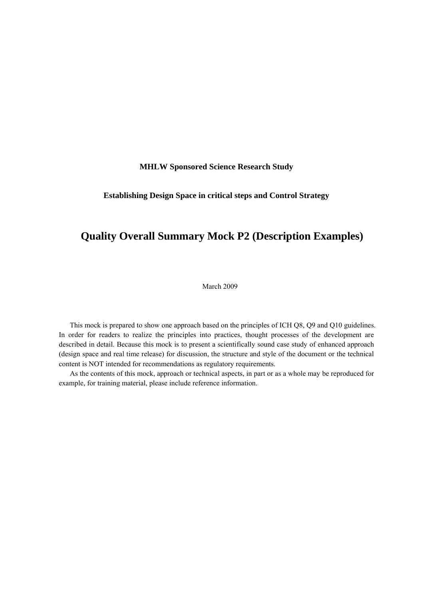**MHLW Sponsored Science Research Study**

# **Establishing Design Space in critical steps and Control Strategy**

# **Quality Overall Summary Mock P2 (Description Examples)**

March 2009

This mock is prepared to show one approach based on the principles of ICH Q8, Q9 and Q10 guidelines. In order for readers to realize the principles into practices, thought processes of the development are described in detail. Because this mock is to present a scientifically sound case study of enhanced approach (design space and real time release) for discussion, the structure and style of the document or the technical content is NOT intended for recommendations as regulatory requirements.

As the contents of this mock, approach or technical aspects, in part or as a whole may be reproduced for example, for training material, please include reference information.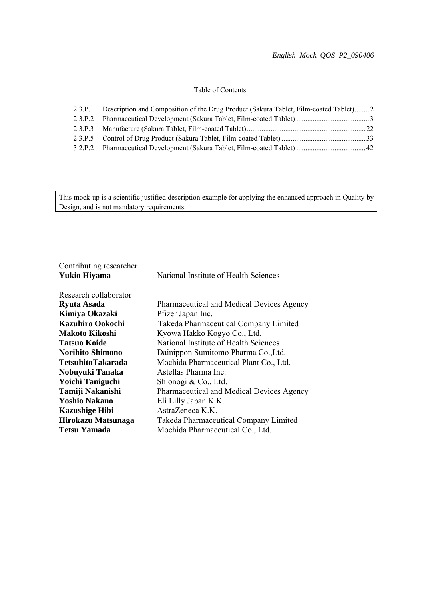# Table of Contents

| 2.3.P.1 Description and Composition of the Drug Product (Sakura Tablet, Film-coated Tablet)2 |  |
|----------------------------------------------------------------------------------------------|--|
|                                                                                              |  |
|                                                                                              |  |
|                                                                                              |  |
|                                                                                              |  |

This mock-up is a scientific justified description example for applying the enhanced approach in Quality by Design, and is not mandatory requirements.

| Contributing researcher |                                           |  |  |  |  |
|-------------------------|-------------------------------------------|--|--|--|--|
| Yukio Hiyama            | National Institute of Health Sciences     |  |  |  |  |
| Research collaborator   |                                           |  |  |  |  |
| Ryuta Asada             | Pharmaceutical and Medical Devices Agency |  |  |  |  |
| Kimiya Okazaki          | Pfizer Japan Inc.                         |  |  |  |  |
| Kazuhiro Ookochi        | Takeda Pharmaceutical Company Limited     |  |  |  |  |
| Makoto Kikoshi          | Kyowa Hakko Kogyo Co., Ltd.               |  |  |  |  |
| Tatsuo Koide            | National Institute of Health Sciences     |  |  |  |  |
| <b>Norihito Shimono</b> | Dainippon Sumitomo Pharma Co., Ltd.       |  |  |  |  |
| TetsuhitoTakarada       | Mochida Pharmaceutical Plant Co., Ltd.    |  |  |  |  |
| Nobuyuki Tanaka         | Astellas Pharma Inc.                      |  |  |  |  |
| <b>Yoichi Taniguchi</b> | Shionogi & Co., Ltd.                      |  |  |  |  |
| Tamiji Nakanishi        | Pharmaceutical and Medical Devices Agency |  |  |  |  |
| <b>Yoshio Nakano</b>    | Eli Lilly Japan K.K.                      |  |  |  |  |
| <b>Kazushige Hibi</b>   | AstraZeneca K.K.                          |  |  |  |  |
| Hirokazu Matsunaga      | Takeda Pharmaceutical Company Limited     |  |  |  |  |
| Tetsu Yamada            | Mochida Pharmaceutical Co., Ltd.          |  |  |  |  |
|                         |                                           |  |  |  |  |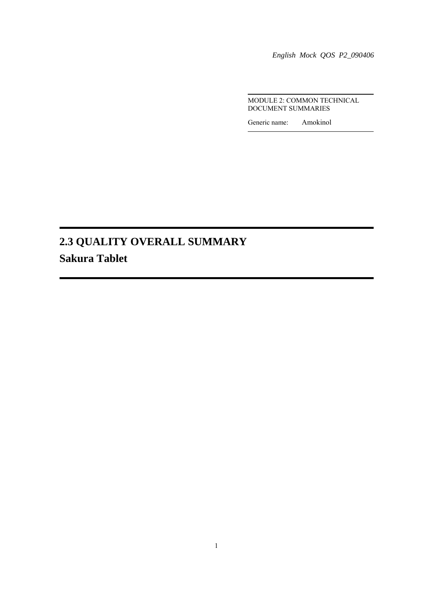*English Mock QOS P2\_090406* 

 MODULE 2: COMMON TECHNICAL DOCUMENT SUMMARIES

Generic name: Amokinol

# **2.3 QUALITY OVERALL SUMMARY Sakura Tablet**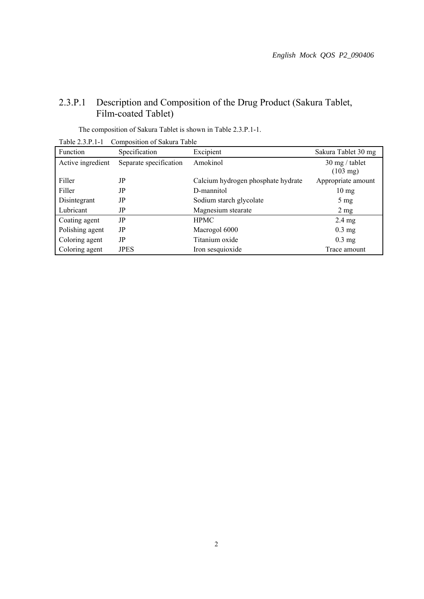# 2.3.P.1 Description and Composition of the Drug Product (Sakura Tablet, Film-coated Tablet)

| 100102111<br>Composition of Bakara Table |                        |                                    |                                                |  |  |  |  |
|------------------------------------------|------------------------|------------------------------------|------------------------------------------------|--|--|--|--|
| Function                                 | Specification          | Excipient                          | Sakura Tablet 30 mg                            |  |  |  |  |
| Active ingredient                        | Separate specification | Amokinol                           | $30 \text{ mg}$ / tablet<br>$(103 \text{ mg})$ |  |  |  |  |
| Filler                                   | JP                     | Calcium hydrogen phosphate hydrate | Appropriate amount                             |  |  |  |  |
| Filler                                   | JP                     | D-mannitol                         | $10 \text{ mg}$                                |  |  |  |  |
| Disintegrant                             | JP                     | Sodium starch glycolate            | $5 \text{ mg}$                                 |  |  |  |  |
| Lubricant                                | JP                     | Magnesium stearate                 | $2 \text{ mg}$                                 |  |  |  |  |
| Coating agent                            | JP                     | <b>HPMC</b>                        | $2.4 \text{ mg}$                               |  |  |  |  |
| Polishing agent                          | JP                     | Macrogol 6000                      | $0.3$ mg                                       |  |  |  |  |
| Coloring agent                           | JP                     | Titanium oxide                     | $0.3$ mg                                       |  |  |  |  |
| Coloring agent                           | <b>JPES</b>            | Iron sesquioxide                   | Trace amount                                   |  |  |  |  |

The composition of Sakura Tablet is shown in Table 2.3.P.1-1.

| Table 2.3.P.1-1 | Composition of Sakura Table |
|-----------------|-----------------------------|
|-----------------|-----------------------------|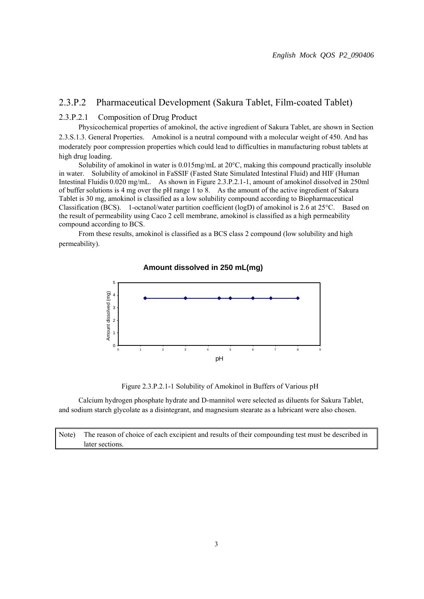# 2.3.P.2 Pharmaceutical Development (Sakura Tablet, Film-coated Tablet)

# 2.3.P.2.1 Composition of Drug Product

 Physicochemical properties of amokinol, the active ingredient of Sakura Tablet, are shown in Section 2.3.S.1.3. General Properties. Amokinol is a neutral compound with a molecular weight of 450. And has moderately poor compression properties which could lead to difficulties in manufacturing robust tablets at high drug loading.

Solubility of amokinol in water is  $0.015$ mg/mL at  $20^{\circ}$ C, making this compound practically insoluble in water. Solubility of amokinol in FaSSIF (Fasted State Simulated Intestinal Fluid) and HIF (Human Intestinal Fluidis 0.020 mg/mL. As shown in Figure 2.3.P.2.1-1, amount of amokinol dissolved in 250ml of buffer solutions is 4 mg over the pH range 1 to 8. As the amount of the active ingredient of Sakura Tablet is 30 mg, amokinol is classified as a low solubility compound according to Biopharmaceutical Classification (BCS). 1-octanol/water partition coefficient (logD) of amokinol is 2.6 at 25C. Based on the result of permeability using Caco 2 cell membrane, amokinol is classified as a high permeability compound according to BCS.

 From these results, amokinol is classified as a BCS class 2 compound (low solubility and high permeability).



#### **Amount dissolved in 250 mL (mg) Amount dissolved in 250 mL(mg)**

Figure 2.3.P.2.1-1 Solubility of Amokinol in Buffers of Various pH

 Calcium hydrogen phosphate hydrate and D-mannitol were selected as diluents for Sakura Tablet, and sodium starch glycolate as a disintegrant, and magnesium stearate as a lubricant were also chosen.

Note) The reason of choice of each excipient and results of their compounding test must be described in later sections.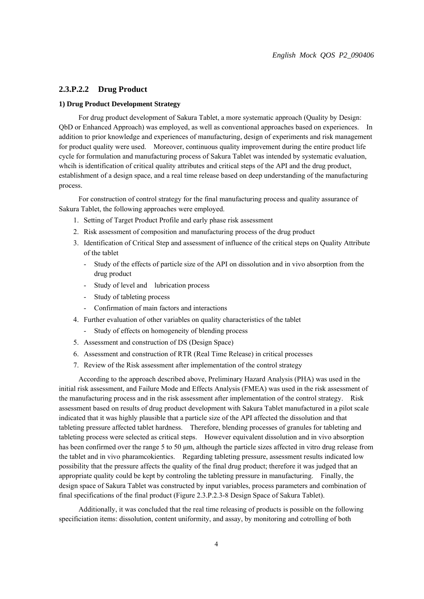# **2.3.P.2.2 Drug Product**

#### **1) Drug Product Development Strategy**

 For drug product development of Sakura Tablet, a more systematic approach (Quality by Design: QbD or Enhanced Approach) was employed, as well as conventional approaches based on experiences. In addition to prior knowledge and experiences of manufacturing, design of experiments and risk management for product quality were used. Moreover, continuous quality improvement during the entire product life cycle for formulation and manufacturing process of Sakura Tablet was intended by systematic evaluation, whcih is identification of critical quality attributes and critical steps of the API and the drug product, establishment of a design space, and a real time release based on deep understanding of the manufacturing process.

 For construction of control strategy for the final manufacturing process and quality assurance of Sakura Tablet, the following approaches were employed.

- 1. Setting of Target Product Profile and early phase risk assessment
- 2. Risk assessment of composition and manufacturing process of the drug product
- 3. Identification of Critical Step and assessment of influence of the critical steps on Quality Attribute of the tablet
	- Study of the effects of particle size of the API on dissolution and in vivo absorption from the drug product
	- Study of level and lubrication process
	- Study of tableting process
	- Confirmation of main factors and interactions
- 4. Further evaluation of other variables on quality characteristics of the tablet
	- Study of effects on homogeneity of blending process
- 5. Assessment and construction of DS (Design Space)
- 6. Assessment and construction of RTR (Real Time Release) in critical processes
- 7. Review of the Risk assessment after implementation of the control strategy

 According to the approach described above, Preliminary Hazard Analysis (PHA) was used in the initial risk assessment, and Failure Mode and Effects Analysis (FMEA) was used in the risk assessment of the manufacturing process and in the risk assessment after implementation of the control strategy. Risk assessment based on results of drug product development with Sakura Tablet manufactured in a pilot scale indicated that it was highly plausible that a particle size of the API affected the dissolution and that tableting pressure affected tablet hardness. Therefore, blending processes of granules for tableting and tableting process were selected as critical steps. However equivalent dissolution and in vivo absorption has been confirmed over the range 5 to 50 μm, although the particle sizes affected in vitro drug release from the tablet and in vivo pharamcokientics. Regarding tableting pressure, assessment results indicated low possibility that the pressure affects the quality of the final drug product; therefore it was judged that an appropriate quality could be kept by controling the tableting pressure in manufacturing. Finally, the design space of Sakura Tablet was constructed by input variables, process parameters and combination of final specifications of the final product (Figure 2.3.P.2.3-8 Design Space of Sakura Tablet).

Additionally, it was concluded that the real time releasing of products is possible on the following specificiation items: dissolution, content uniformity, and assay, by monitoring and cotrolling of both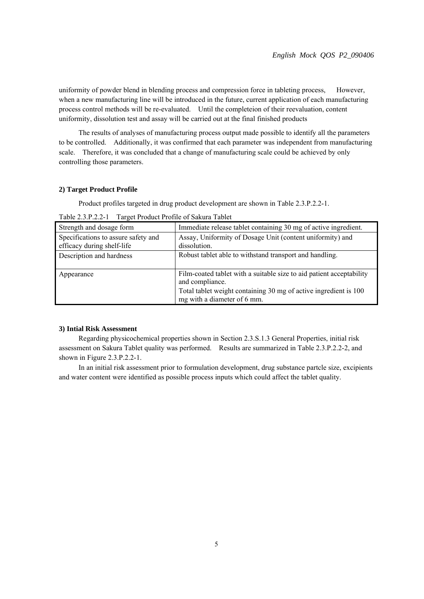uniformity of powder blend in blending process and compression force in tableting process, However, when a new manufacturing line will be introduced in the future, current application of each manufacturing process control methods will be re-evaluated. Until the completeion of their reevaluation, content uniformity, dissolution test and assay will be carried out at the final finished products

 The results of analyses of manufacturing process output made possible to identify all the parameters to be controlled. Additionally, it was confirmed that each parameter was independent from manufacturing scale. Therefore, it was concluded that a change of manufacturing scale could be achieved by only controlling those parameters.

#### **2) Target Product Profile**

Product profiles targeted in drug product development are shown in Table 2.3.P.2.2-1.

| Strength and dosage form                                          | Immediate release tablet containing 30 mg of active ingredient.                                                                                                                            |
|-------------------------------------------------------------------|--------------------------------------------------------------------------------------------------------------------------------------------------------------------------------------------|
| Specifications to assure safety and<br>efficacy during shelf-life | Assay, Uniformity of Dosage Unit (content uniformity) and<br>dissolution.                                                                                                                  |
| Description and hardness                                          | Robust tablet able to withstand transport and handling.                                                                                                                                    |
| Appearance                                                        | Film-coated tablet with a suitable size to aid patient acceptability<br>and compliance.<br>Total tablet weight containing 30 mg of active ingredient is 100<br>mg with a diameter of 6 mm. |

Table 2.3.P.2.2-1 Target Product Profile of Sakura Tablet

## **3) Intial Risk Assessment**

 Regarding physicochemical properties shown in Section 2.3.S.1.3 General Properties, initial risk assessment on Sakura Tablet quality was performed. Results are summarized in Table 2.3.P.2.2-2, and shown in Figure 2.3.P.2.2-1.

 In an initial risk assessment prior to formulation development, drug substance partcle size, excipients and water content were identified as possible process inputs which could affect the tablet quality.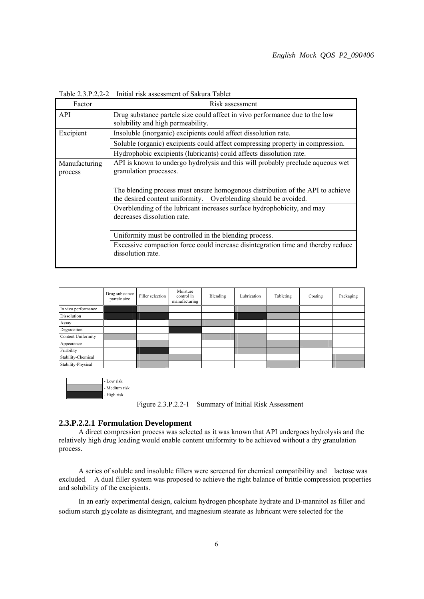| Factor                   | Risk assessment                                                                                                                                   |
|--------------------------|---------------------------------------------------------------------------------------------------------------------------------------------------|
| API                      | Drug substance partcle size could affect in vivo performance due to the low<br>solubility and high permeability.                                  |
| Excipient                | Insoluble (inorganic) excipients could affect dissolution rate.                                                                                   |
|                          | Soluble (organic) excipients could affect compressing property in compression.                                                                    |
|                          | Hydrophobic excipients (lubricants) could affects dissolution rate.                                                                               |
| Manufacturing<br>process | API is known to undergo hydrolysis and this will probably preclude aqueous wet<br>granulation processes.                                          |
|                          | The blending process must ensure homogenous distribution of the API to achieve<br>the desired content uniformity. Overblending should be avoided. |
|                          | Overblending of the lubricant increases surface hydrophobicity, and may<br>decreases dissolution rate.                                            |
|                          | Uniformity must be controlled in the blending process.                                                                                            |
|                          | Excessive compaction force could increase disintegration time and thereby reduce<br>dissolution rate.                                             |

Table 2.3.P.2.2-2 Initial risk assessment of Sakura Tablet

|                     | Drug substance<br>partcle size | Filler selection | Moisture<br>control in<br>manufacturing | Blending | Lubrication | Tableting | Coating | Packaging |
|---------------------|--------------------------------|------------------|-----------------------------------------|----------|-------------|-----------|---------|-----------|
| In vivo performance |                                |                  |                                         |          |             |           |         |           |
| Dissolution         |                                |                  |                                         |          |             |           |         |           |
| Assay               |                                |                  |                                         |          |             |           |         |           |
| Degradation         |                                |                  |                                         |          |             |           |         |           |
| Content Uniformity  |                                |                  |                                         |          |             |           |         |           |
| Appearance          |                                |                  |                                         |          |             |           |         |           |
| Friability          |                                |                  |                                         |          |             |           |         |           |
| Stability-Chemical  |                                |                  |                                         |          |             |           |         |           |
| Stability-Physical  |                                |                  |                                         |          |             |           |         |           |

| - Low risk    |
|---------------|
| - Medium risk |
| - High risk   |

Figure 2.3.P.2.2-1 Summary of Initial Risk Assessment

# **2.3.P.2.2.1 Formulation Development**

 A direct compression process was selected as it was known that API undergoes hydrolysis and the relatively high drug loading would enable content uniformity to be achieved without a dry granulation process.

 A series of soluble and insoluble fillers were screened for chemical compatibility and lactose was excluded. A dual filler system was proposed to achieve the right balance of brittle compression properties and solubility of the excipients.

 In an early experimental design, calcium hydrogen phosphate hydrate and D-mannitol as filler and sodium starch glycolate as disintegrant, and magnesium stearate as lubricant were selected for the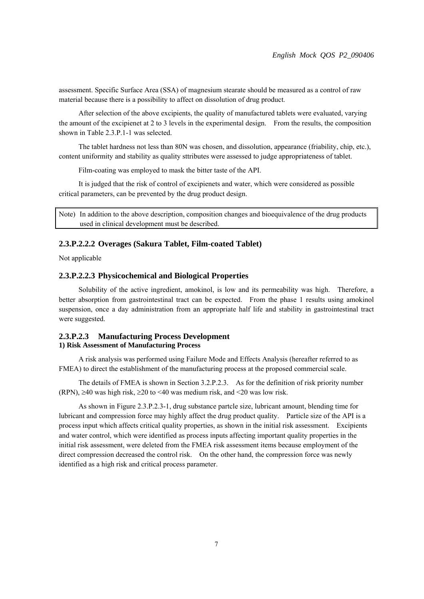assessment. Specific Surface Area (SSA) of magnesium stearate should be measured as a control of raw material because there is a possibility to affect on dissolution of drug product.

 After selection of the above excipients, the quality of manufactured tablets were evaluated, varying the amount of the excipienet at 2 to 3 levels in the experimental design. From the results, the composition shown in Table 2.3.P.1-1 was selected.

 The tablet hardness not less than 80N was chosen, and dissolution, appearance (friability, chip, etc.), content uniformity and stability as quality sttributes were assessed to judge appropriateness of tablet.

Film-coating was employed to mask the bitter taste of the API.

 It is judged that the risk of control of excipienets and water, which were considered as possible critical parameters, can be prevented by the drug product design.

Note) In addition to the above description, composition changes and bioequivalence of the drug products used in clinical development must be described.

#### **2.3.P.2.2.2 Overages (Sakura Tablet, Film-coated Tablet)**

Not applicable

# **2.3.P.2.2.3 Physicochemical and Biological Properties**

 Solubility of the active ingredient, amokinol, is low and its permeability was high. Therefore, a better absorption from gastrointestinal tract can be expected. From the phase 1 results using amokinol suspension, once a day administration from an appropriate half life and stability in gastrointestinal tract were suggested.

## **2.3.P.2.3 Manufacturing Process Development 1) Risk Assessment of Manufacturing Process**

 A risk analysis was performed using Failure Mode and Effects Analysis (hereafter referred to as FMEA) to direct the establishment of the manufacturing process at the proposed commercial scale.

 The details of FMEA is shown in Section 3.2.P.2.3. As for the definition of risk priority number (RPN),  $\geq$ 40 was high risk,  $\geq$ 20 to <40 was medium risk, and <20 was low risk.

 As shown in Figure 2.3.P.2.3-1, drug substance partcle size, lubricant amount, blending time for lubricant and compression force may highly affect the drug product quality. Particle size of the API is a process input which affects critical quality properties, as shown in the initial risk assessment. Excipients and water control, which were identified as process inputs affecting important quality properties in the initial risk assessment, were deleted from the FMEA risk assessment items because employment of the direct compression decreased the control risk. On the other hand, the compression force was newly identified as a high risk and critical process parameter.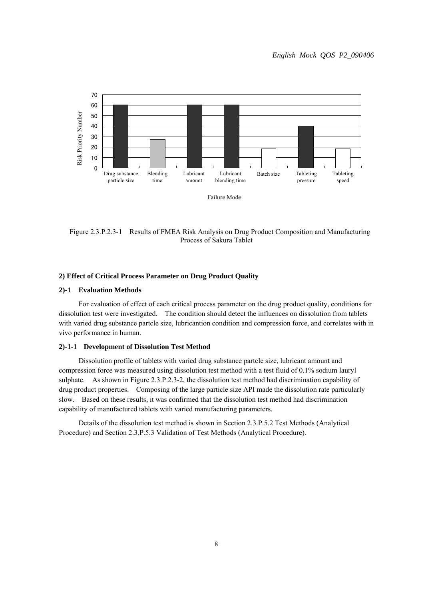

Figure 2.3.P.2.3-1 Results of FMEA Risk Analysis on Drug Product Composition and Manufacturing Process of Sakura Tablet

### **2) Effect of Critical Process Parameter on Drug Product Quality**

## **2)-1 Evaluation Methods**

 For evaluation of effect of each critical process parameter on the drug product quality, conditions for dissolution test were investigated. The condition should detect the influences on dissolution from tablets with varied drug substance partcle size, lubricantion condition and compression force, and correlates with in vivo performance in human.

#### **2)-1-1 Development of Dissolution Test Method**

 Dissolution profile of tablets with varied drug substance partcle size, lubricant amount and compression force was measured using dissolution test method with a test fluid of 0.1% sodium lauryl sulphate. As shown in Figure 2.3.P.2.3-2, the dissolution test method had discrimination capability of drug product properties. Composing of the large particle size API made the dissolution rate particularly slow. Based on these results, it was confirmed that the dissolution test method had discrimination capability of manufactured tablets with varied manufacturing parameters.

 Details of the dissolution test method is shown in Section 2.3.P.5.2 Test Methods (Analytical Procedure) and Section 2.3.P.5.3 Validation of Test Methods (Analytical Procedure).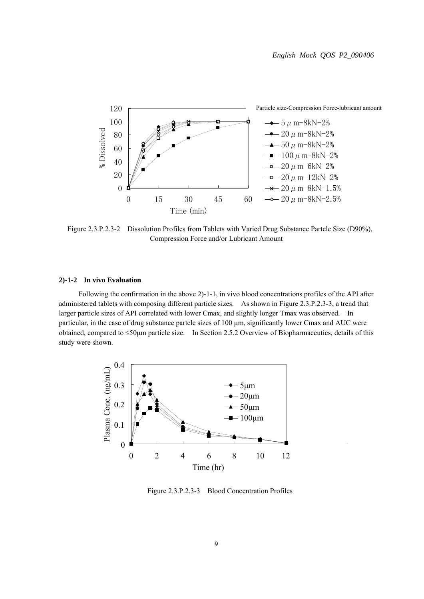

Figure 2.3.P.2.3-2 Dissolution Profiles from Tablets with Varied Drug Substance Partcle Size (D90%), Compression Force and/or Lubricant Amount

#### **2)-1-2 In vivo Evaluation**

 Following the confirmation in the above 2)-1-1, in vivo blood concentrations profiles of the API after administered tablets with composing different particle sizes. As shown in Figure 2.3.P.2.3-3, a trend that larger particle sizes of API correlated with lower Cmax, and slightly longer Tmax was observed. In particular, in the case of drug substance partcle sizes of 100 μm, significantly lower Cmax and AUC were obtained, compared to  $\leq 50 \mu m$  particle size. In Section 2.5.2 Overview of Biopharmaceutics, details of this study were shown.



Figure 2.3.P.2.3-3 Blood Concentration Profiles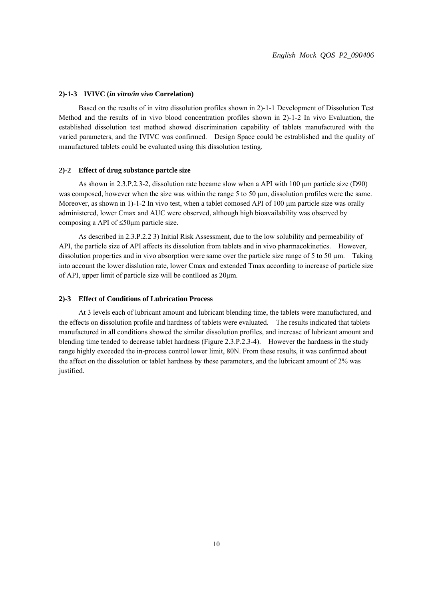#### **2)-1-3 IVIVC (***in vitro/in vivo* **Correlation)**

 Based on the results of in vitro dissolution profiles shown in 2)-1-1 Development of Dissolution Test Method and the results of in vivo blood concentration profiles shown in 2)-1-2 In vivo Evaluation, the established dissolution test method showed discrimination capability of tablets manufactured with the varied parameters, and the IVIVC was confirmed. Design Space could be estrablished and the quality of manufactured tablets could be evaluated using this dissolution testing.

#### **2)-2 Effect of drug substance partcle size**

As shown in 2.3.P.2.3-2, dissolution rate became slow when a API with 100 um particle size (D90) was composed, however when the size was within the range 5 to 50  $\mu$ m, dissolution profiles were the same. Moreover, as shown in  $1$ )-1-2 In vivo test, when a tablet comosed API of 100  $\mu$ m particle size was orally administered, lower Cmax and AUC were observed, although high bioavailability was observed by composing a API of  $\leq 50 \mu m$  particle size.

 As described in 2.3.P.2.2 3) Initial Risk Assessment, due to the low solubility and permeability of API, the particle size of API affects its dissolution from tablets and in vivo pharmacokinetics. However, dissolution properties and in vivo absorption were same over the particle size range of 5 to 50  $\mu$ m. Taking into account the lower disslution rate, lower Cmax and extended Tmax according to increase of particle size of API, upper limit of particle size will be contlloed as 20μm.

#### **2)-3 Effect of Conditions of Lubrication Process**

 At 3 levels each of lubricant amount and lubricant blending time, the tablets were manufactured, and the effects on dissolution profile and hardness of tablets were evaluated. The results indicated that tablets manufactured in all conditions showed the similar dissolution profiles, and increase of lubricant amount and blending time tended to decrease tablet hardness (Figure 2.3.P.2.3-4). However the hardness in the study range highly exceeded the in-process control lower limit, 80N. From these results, it was confirmed about the affect on the dissolution or tablet hardness by these parameters, and the lubricant amount of 2% was justified.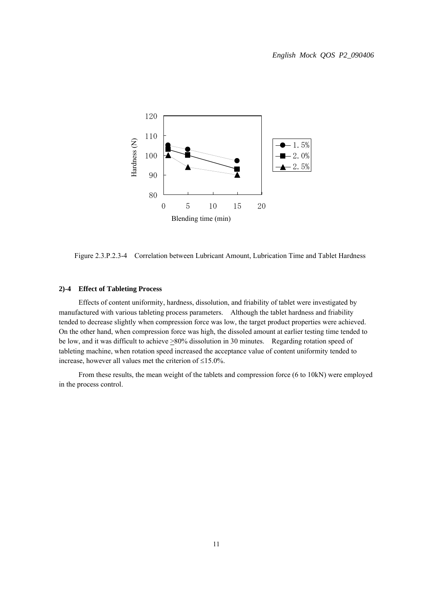

Figure 2.3.P.2.3-4 Correlation between Lubricant Amount, Lubrication Time and Tablet Hardness

#### **2)-4 Effect of Tableting Process**

 Effects of content uniformity, hardness, dissolution, and friability of tablet were investigated by manufactured with various tableting process parameters. Although the tablet hardness and friability tended to decrease slightly when compression force was low, the target product properties were achieved. On the other hand, when compression force was high, the dissoled amount at earlier testing time tended to be low, and it was difficult to achieve  $\geq 80\%$  dissolution in 30 minutes. Regarding rotation speed of tableting machine, when rotation speed increased the acceptance value of content uniformity tended to increase, however all values met the criterion of  $\leq 15.0\%$ .

 From these results, the mean weight of the tablets and compression force (6 to 10kN) were employed in the process control.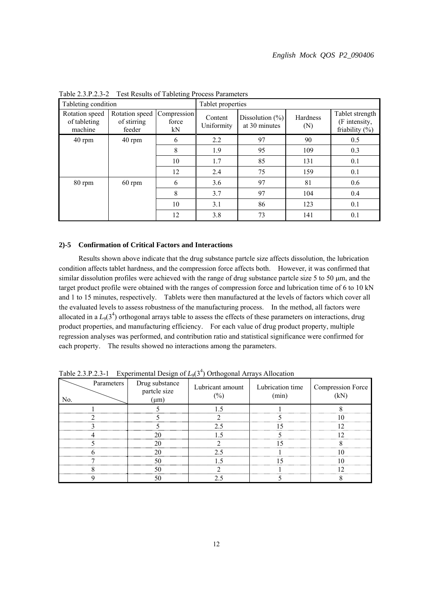| Tableting condition                       |                                         | 0                          | Tablet properties     |                                      |                 |                                                       |
|-------------------------------------------|-----------------------------------------|----------------------------|-----------------------|--------------------------------------|-----------------|-------------------------------------------------------|
| Rotation speed<br>of tableting<br>machine | Rotation speed<br>of stirring<br>feeder | Compression<br>force<br>kN | Content<br>Uniformity | Dissolution $(\% )$<br>at 30 minutes | Hardness<br>(N) | Tablet strength<br>(F intensity,<br>friability $(\%)$ |
| $40$ rpm                                  | 40 rpm                                  | 6                          | 2.2                   | 97                                   | 90              | 0.5                                                   |
|                                           |                                         | 8                          | 1.9                   | 95                                   | 109             | 0.3                                                   |
|                                           |                                         | 10                         | 1.7                   | 85                                   | 131             | 0.1                                                   |
|                                           |                                         | 12                         | 2.4                   | 75                                   | 159             | 0.1                                                   |
| 80 rpm                                    | $60$ rpm                                | 6                          | 3.6                   | 97                                   | 81              | 0.6                                                   |
|                                           |                                         | 8                          | 3.7                   | 97                                   | 104             | 0.4                                                   |
|                                           |                                         | 10                         | 3.1                   | 86                                   | 123             | 0.1                                                   |
|                                           |                                         | 12                         | 3.8                   | 73                                   | 141             | 0.1                                                   |

Table 2.3.P.2.3-2 Test Results of Tableting Process Parameters

#### **2)-5 Confirmation of Critical Factors and Interactions**

 Results shown above indicate that the drug substance partcle size affects dissolution, the lubrication condition affects tablet hardness, and the compression force affects both. However, it was confirmed that similar dissolution profiles were achieved with the range of drug substance partcle size  $5$  to  $50 \mu m$ , and the target product profile were obtained with the ranges of compression force and lubrication time of 6 to 10 kN and 1 to 15 minutes, respectively. Tablets were then manufactured at the levels of factors which cover all the evaluated levels to assess robustness of the manufacturing process. In the method, all factors were allocated in a  $L_9(3^4)$  orthogonal arrays table to assess the effects of these parameters on interactions, drug product properties, and manufacturing efficiency. For each value of drug product property, multiple regression analyses was performed, and contribution ratio and statistical significance were confirmed for each property. The results showed no interactions among the parameters.

| Parameters<br>No. | Drug substance<br>partcle size<br>$(\mu m)$ | Lubricant amount<br>$(\%)$ | Lubrication time<br>(min) | <b>Compression Force</b><br>(kN) |
|-------------------|---------------------------------------------|----------------------------|---------------------------|----------------------------------|
|                   |                                             | 1.5                        |                           |                                  |
|                   |                                             |                            |                           | 10                               |
|                   |                                             | 2.5                        |                           | 12                               |
|                   | 20                                          | 1.5                        |                           | 12                               |
|                   | 20                                          |                            |                           |                                  |
|                   | 20                                          | 2.5                        |                           | 10                               |
|                   | 50                                          | l 5                        |                           | 10                               |
|                   | 50                                          |                            |                           | 12                               |
|                   | 50                                          | 2.5                        |                           |                                  |

Table 2.3.P.2.3-1 Experimental Design of  $L_9(3^4)$  Orthogonal Arrays Allocation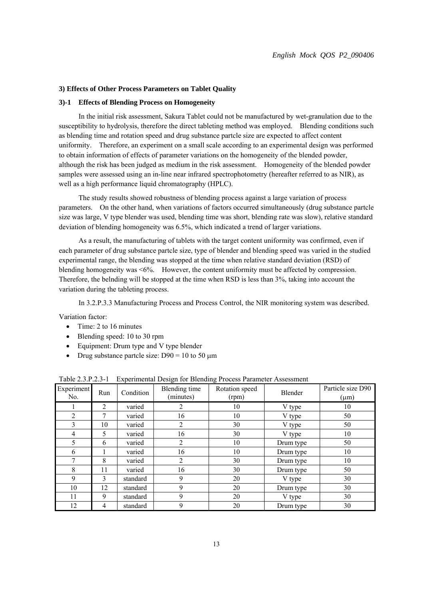#### **3) Effects of Other Process Parameters on Tablet Quality**

#### **3)-1 Effects of Blending Process on Homogeneity**

 In the initial risk assessment, Sakura Tablet could not be manufactured by wet-granulation due to the susceptibility to hydrolysis, therefore the direct tableting method was employed. Blending conditions such as blending time and rotation speed and drug substance partcle size are expected to affect content uniformity. Therefore, an experiment on a small scale according to an experimental design was performed to obtain information of effects of parameter variations on the homogeneity of the blended powder, although the risk has been judged as medium in the risk assessment. Homogeneity of the blended powder samples were assessed using an in-line near infrared spectrophotometry (hereafter referred to as NIR), as well as a high performance liquid chromatography (HPLC).

 The study results showed robustness of blending process against a large variation of process parameters. On the other hand, when variations of factors occurred simultaneously (drug substance partcle size was large, V type blender was used, blending time was short, blending rate was slow), relative standard deviation of blending homogeneity was 6.5%, which indicated a trend of larger variations.

 As a result, the manufacturing of tablets with the target content uniformity was confirmed, even if each parameter of drug substance partcle size, type of blender and blending speed was varied in the studied experimental range, the blending was stopped at the time when relative standard deviation (RSD) of blending homogeneity was <6%. However, the content uniformity must be affected by compression. Therefore, the belnding will be stopped at the time when RSD is less than 3%, taking into account the variation during the tableting process.

In 3.2.P.3.3 Manufacturing Process and Process Control, the NIR monitoring system was described.

Variation factor:

- Time: 2 to 16 minutes
- Blending speed: 10 to 30 rpm
- Equipment: Drum type and V type blender
- Drug substance partcle size: D90 = 10 to 50  $\mu$ m

|                   |              |           | ັ                          | $\tilde{\phantom{a}}$   |           |                                |
|-------------------|--------------|-----------|----------------------------|-------------------------|-----------|--------------------------------|
| Experiment<br>No. | Run          | Condition | Blending time<br>(minutes) | Rotation speed<br>(rpm) | Blender   | Particle size D90<br>$(\mu m)$ |
|                   | 2            | varied    | 2                          | 10                      | V type    | 10                             |
| 2                 | 7            | varied    | 16                         | 10                      | V type    | 50                             |
| 3                 | 10           | varied    | 2                          | 30                      | V type    | 50                             |
| 4                 | 5            | varied    | 16                         | 30                      | V type    | 10                             |
| 5                 | 6            | varied    | 2                          | 10                      | Drum type | 50                             |
| 6                 |              | varied    | 16                         | 10                      | Drum type | 10                             |
| 7                 | 8            | varied    | 2                          | 30                      | Drum type | 10                             |
| 8                 | 11           | varied    | 16                         | 30                      | Drum type | 50                             |
| 9                 | $\mathbf{3}$ | standard  | 9                          | 20                      | V type    | 30                             |
| 10                | 12           | standard  | 9                          | 20                      | Drum type | 30                             |
| 11                | 9            | standard  | 9                          | 20                      | V type    | 30                             |
| 12                | 4            | standard  | 9                          | 20                      | Drum type | 30                             |

Table 2.3.P.2.3-1 Experimental Design for Blending Process Parameter Assessment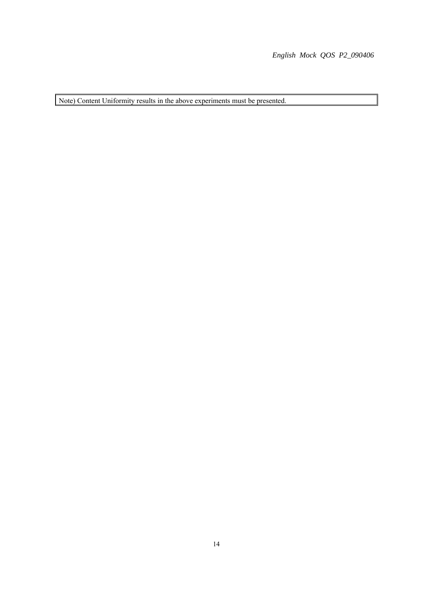*English Mock QOS P2\_090406*

Note) Content Uniformity results in the above experiments must be presented.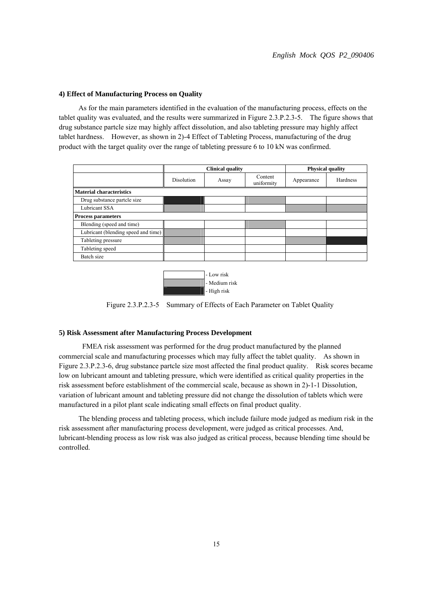#### **4) Effect of Manufacturing Process on Quality**

 As for the main parameters identified in the evaluation of the manufacturing process, effects on the tablet quality was evaluated, and the results were summarized in Figure 2.3.P.2.3-5. The figure shows that drug substance partcle size may highly affect dissolution, and also tableting pressure may highly affect tablet hardness. However, as shown in 2)-4 Effect of Tableting Process, manufacturing of the drug product with the target quality over the range of tableting pressure 6 to 10 kN was confirmed.

|                                     | <b>Clinical quality</b> |       |                       | <b>Physical quality</b> |          |
|-------------------------------------|-------------------------|-------|-----------------------|-------------------------|----------|
|                                     | <b>Disolution</b>       | Assay | Content<br>uniformity | Appearance              | Hardness |
| <b>Material characteristics</b>     |                         |       |                       |                         |          |
| Drug substance partcle size         |                         |       |                       |                         |          |
| Lubricant SSA                       |                         |       |                       |                         |          |
| <b>Process parameters</b>           |                         |       |                       |                         |          |
| Blending (speed and time)           |                         |       |                       |                         |          |
| Lubricant (blending speed and time) |                         |       |                       |                         |          |
| Tableting pressure                  |                         |       |                       |                         |          |
| Tableting speed                     |                         |       |                       |                         |          |
| Batch size                          |                         |       |                       |                         |          |
|                                     |                         |       |                       |                         |          |



Figure 2.3.P.2.3-5 Summary of Effects of Each Parameter on Tablet Quality

#### **5) Risk Assessment after Manufacturing Process Development**

 FMEA risk assessment was performed for the drug product manufactured by the planned commercial scale and manufacturing processes which may fully affect the tablet quality. As shown in Figure 2.3.P.2.3-6, drug substance partcle size most affected the final product quality. Risk scores became low on lubricant amount and tableting pressure, which were identified as critical quality properties in the risk assessment before establishment of the commercial scale, because as shown in 2)-1-1 Dissolution, variation of lubricant amount and tableting pressure did not change the dissolution of tablets which were manufactured in a pilot plant scale indicating small effects on final product quality.

 The blending process and tableting process, which include failure mode judged as medium risk in the risk assessment after manufacturing process development, were judged as critical processes. And, lubricant-blending process as low risk was also judged as critical process, because blending time should be controlled.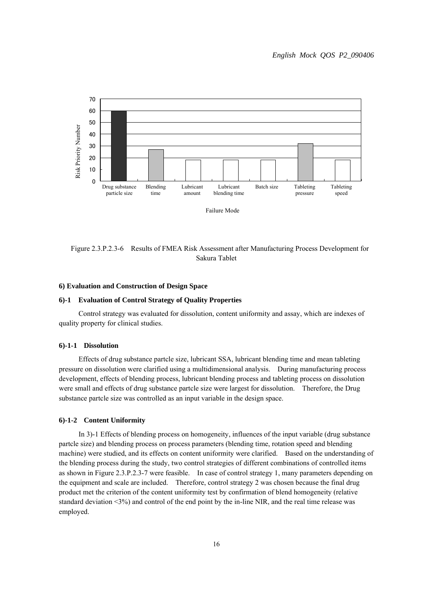

Figure 2.3.P.2.3-6 Results of FMEA Risk Assessment after Manufacturing Process Development for Sakura Tablet

#### **6) Evaluation and Construction of Design Space**

#### **6)-1 Evaluation of Control Strategy of Quality Properties**

 Control strategy was evaluated for dissolution, content uniformity and assay, which are indexes of quality property for clinical studies.

#### **6)-1-1 Dissolution**

 Effects of drug substance partcle size, lubricant SSA, lubricant blending time and mean tableting pressure on dissolution were clarified using a multidimensional analysis. During manufacturing process development, effects of blending process, lubricant blending process and tableting process on dissolution were small and effects of drug substance partcle size were largest for dissolution. Therefore, the Drug substance partcle size was controlled as an input variable in the design space.

#### **6)-1-2 Content Uniformity**

 In 3)-1 Effects of blending process on homogeneity, influences of the input variable (drug substance partcle size) and blending process on process parameters (blending time, rotation speed and blending machine) were studied, and its effects on content uniformity were clarified. Based on the understanding of the blending process during the study, two control strategies of different combinations of controlled items as shown in Figure 2.3.P.2.3-7 were feasible. In case of control strategy 1, many parameters depending on the equipment and scale are included. Therefore, control strategy 2 was chosen because the final drug product met the criterion of the content uniformity test by confirmation of blend homogeneity (relative standard deviation <3%) and control of the end point by the in-line NIR, and the real time release was employed.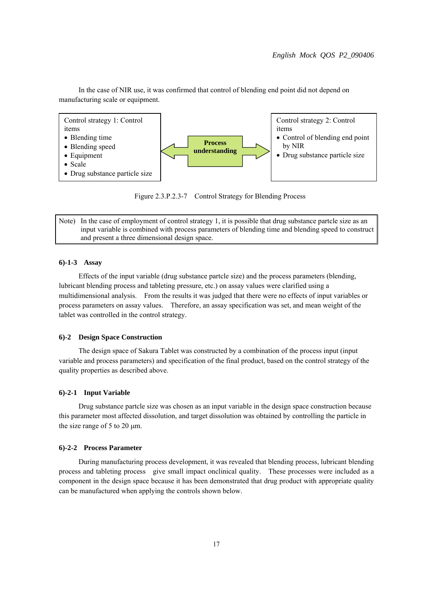In the case of NIR use, it was confirmed that control of blending end point did not depend on manufacturing scale or equipment.



Figure 2.3.P.2.3-7 Control Strategy for Blending Process

Note) In the case of employment of control strategy 1, it is possible that drug substance partcle size as an input variable is combined with process parameters of blending time and blending speed to construct and present a three dimensional design space.

#### **6)-1-3 Assay**

 Effects of the input variable (drug substance partcle size) and the process parameters (blending, lubricant blending process and tableting pressure, etc.) on assay values were clarified using a multidimensional analysis. From the results it was judged that there were no effects of input variables or process parameters on assay values. Therefore, an assay specification was set, and mean weight of the tablet was controlled in the control strategy.

#### **6)-2 Design Space Construction**

 The design space of Sakura Tablet was constructed by a combination of the process input (input variable and process parameters) and specification of the final product, based on the control strategy of the quality properties as described above.

#### **6)-2-1 Input Variable**

 Drug substance partcle size was chosen as an input variable in the design space construction because this parameter most affected dissolution, and target dissolution was obtained by controlling the particle in the size range of 5 to 20  $\mu$ m.

#### **6)-2-2 Process Parameter**

 During manufacturing process development, it was revealed that blending process, lubricant blending process and tableting process give small impact onclinical quality. These processes were included as a component in the design space because it has been demonstrated that drug product with appropriate quality can be manufactured when applying the controls shown below.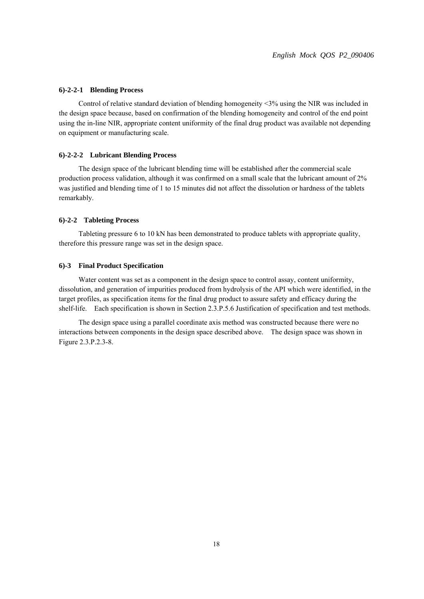#### **6)-2-2-1 Blending Process**

 Control of relative standard deviation of blending homogeneity <3% using the NIR was included in the design space because, based on confirmation of the blending homogeneity and control of the end point using the in-line NIR, appropriate content uniformity of the final drug product was available not depending on equipment or manufacturing scale.

#### **6)-2-2-2 Lubricant Blending Process**

 The design space of the lubricant blending time will be established after the commercial scale production process validation, although it was confirmed on a small scale that the lubricant amount of 2% was justified and blending time of 1 to 15 minutes did not affect the dissolution or hardness of the tablets remarkably.

#### **6)-2-2 Tableting Process**

 Tableting pressure 6 to 10 kN has been demonstrated to produce tablets with appropriate quality, therefore this pressure range was set in the design space.

#### **6)-3 Final Product Specification**

 Water content was set as a component in the design space to control assay, content uniformity, dissolution, and generation of impurities produced from hydrolysis of the API which were identified, in the target profiles, as specification items for the final drug product to assure safety and efficacy during the shelf-life. Each specification is shown in Section 2.3.P.5.6 Justification of specification and test methods.

 The design space using a parallel coordinate axis method was constructed because there were no interactions between components in the design space described above. The design space was shown in Figure 2.3.P.2.3-8.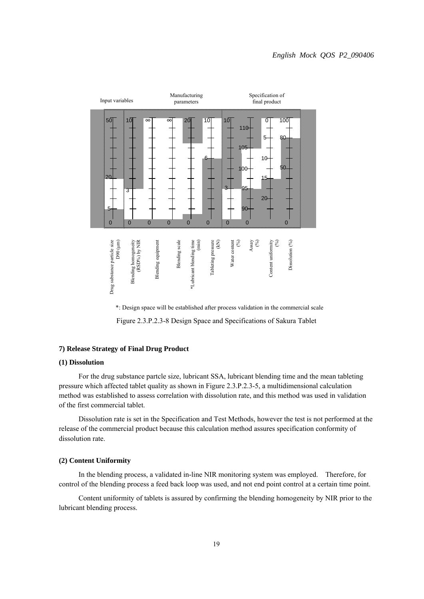

\*: Design space will be established after process validation in the commercial scale Figure 2.3.P.2.3-8 Design Space and Specifications of Sakura Tablet

# **7) Release Strategy of Final Drug Product**

## **(1) Dissolution**

 For the drug substance partcle size, lubricant SSA, lubricant blending time and the mean tableting pressure which affected tablet quality as shown in Figure 2.3.P.2.3-5, a multidimensional calculation method was established to assess correlation with dissolution rate, and this method was used in validation of the first commercial tablet.

 Dissolution rate is set in the Specification and Test Methods, however the test is not performed at the release of the commercial product because this calculation method assures specification conformity of dissolution rate.

#### **(2) Content Uniformity**

 In the blending process, a validated in-line NIR monitoring system was employed. Therefore, for control of the blending process a feed back loop was used, and not end point control at a certain time point.

 Content uniformity of tablets is assured by confirming the blending homogeneity by NIR prior to the lubricant blending process.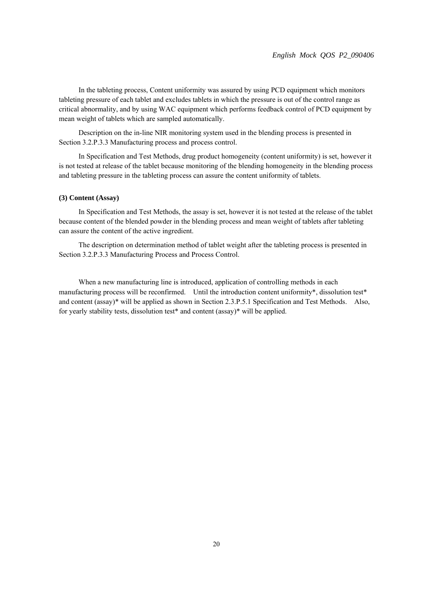In the tableting process, Content uniformity was assured by using PCD equipment which monitors tableting pressure of each tablet and excludes tablets in which the pressure is out of the control range as critical abnormality, and by using WAC equipment which performs feedback control of PCD equipment by mean weight of tablets which are sampled automatically.

 Description on the in-line NIR monitoring system used in the blending process is presented in Section 3.2.P.3.3 Manufacturing process and process control.

 In Specification and Test Methods, drug product homogeneity (content uniformity) is set, however it is not tested at release of the tablet because monitoring of the blending homogeneity in the blending process and tableting pressure in the tableting process can assure the content uniformity of tablets.

## **(3) Content (Assay)**

 In Specification and Test Methods, the assay is set, however it is not tested at the release of the tablet because content of the blended powder in the blending process and mean weight of tablets after tableting can assure the content of the active ingredient.

 The description on determination method of tablet weight after the tableting process is presented in Section 3.2.P.3.3 Manufacturing Process and Process Control.

 When a new manufacturing line is introduced, application of controlling methods in each manufacturing process will be reconfirmed. Until the introduction content uniformity\*, dissolution test\* and content (assay)\* will be applied as shown in Section 2.3.P.5.1 Specification and Test Methods. Also, for yearly stability tests, dissolution test\* and content (assay)\* will be applied.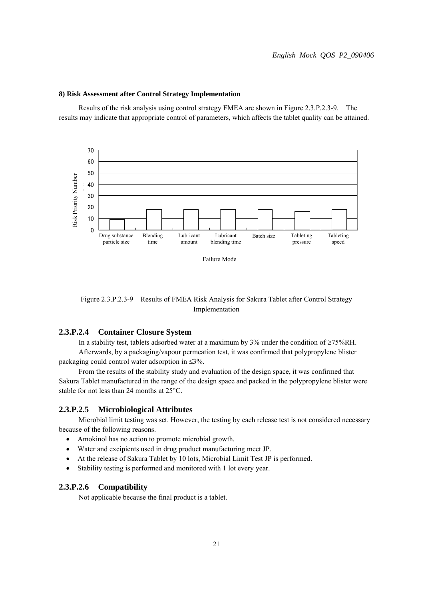

#### **8) Risk Assessment after Control Strategy Implementation**

 Results of the risk analysis using control strategy FMEA are shown in Figure 2.3.P.2.3-9. The results may indicate that appropriate control of parameters, which affects the tablet quality can be attained.

Failure Mode

Figure 2.3.P.2.3-9 Results of FMEA Risk Analysis for Sakura Tablet after Control Strategy Implementation

# **2.3.P.2.4 Container Closure System**

In a stability test, tablets adsorbed water at a maximum by 3% under the condition of  $\geq 75\%$ RH. Afterwards, by a packaging/vapour permeation test, it was confirmed that polypropylene blister packaging could control water adsorption in  $\leq 3\%$ .

 From the results of the stability study and evaluation of the design space, it was confirmed that Sakura Tablet manufactured in the range of the design space and packed in the polypropylene blister were stable for not less than 24 months at  $25^{\circ}$ C.

# **2.3.P.2.5 Microbiological Attributes**

 Microbial limit testing was set. However, the testing by each release test is not considered necessary because of the following reasons.

- Amokinol has no action to promote microbial growth.
- Water and excipients used in drug product manufacturing meet JP.
- At the release of Sakura Tablet by 10 lots, Microbial Limit Test JP is performed.
- Stability testing is performed and monitored with 1 lot every year.

# **2.3.P.2.6 Compatibility**

Not applicable because the final product is a tablet.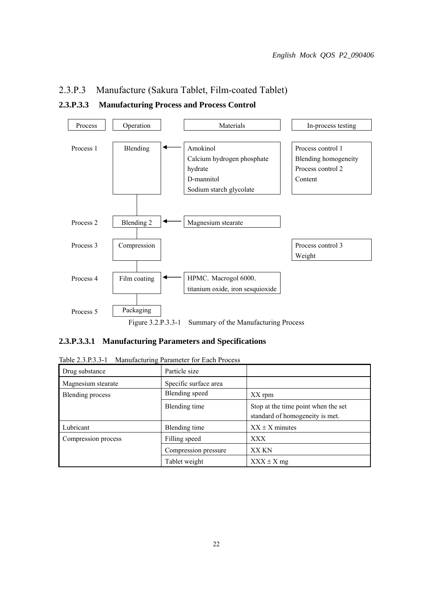# 2.3.P.3 Manufacture (Sakura Tablet, Film-coated Tablet)

# **2.3.P.3.3 Manufacturing Process and Process Control**



# **2.3.P.3.3.1 Manufacturing Parameters and Specifications**

| Drug substance      | Particle size         |                                                                        |
|---------------------|-----------------------|------------------------------------------------------------------------|
| Magnesium stearate  | Specific surface area |                                                                        |
| Blending process    | Blending speed        | XX rpm                                                                 |
|                     | Blending time         | Stop at the time point when the set<br>standard of homogeneity is met. |
| Lubricant           | Blending time         | $XX \pm X$ minutes                                                     |
| Compression process | Filling speed         | XXX                                                                    |
|                     | Compression pressure  | <b>XX KN</b>                                                           |
|                     | Tablet weight         | $XXX \pm X$ mg                                                         |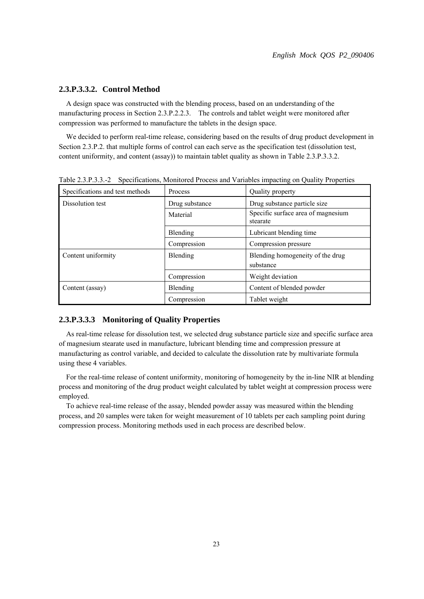# **2.3.P.3.3.2. Control Method**

A design space was constructed with the blending process, based on an understanding of the manufacturing process in Section 2.3.P.2.2.3. The controls and tablet weight were monitored after compression was performed to manufacture the tablets in the design space.

We decided to perform real-time release, considering based on the results of drug product development in Section 2.3.P.2. that multiple forms of control can each serve as the specification test (dissolution test, content uniformity, and content (assay)) to maintain tablet quality as shown in Table 2.3.P.3.3.2.

| Specifications and test methods | <b>Process</b> | Quality property                               |
|---------------------------------|----------------|------------------------------------------------|
| Dissolution test                | Drug substance | Drug substance particle size                   |
|                                 | Material       | Specific surface area of magnesium<br>stearate |
|                                 | Blending       | Lubricant blending time                        |
|                                 | Compression    | Compression pressure                           |
| Content uniformity              | Blending       | Blending homogeneity of the drug<br>substance  |
|                                 | Compression    | Weight deviation                               |
| Content (assay)                 | Blending       | Content of blended powder                      |
|                                 | Compression    | Tablet weight                                  |

Table 2.3.P.3.3.-2 Specifications, Monitored Process and Variables impacting on Quality Properties

# **2.3.P.3.3.3 Monitoring of Quality Properties**

As real-time release for dissolution test, we selected drug substance particle size and specific surface area of magnesium stearate used in manufacture, lubricant blending time and compression pressure at manufacturing as control variable, and decided to calculate the dissolution rate by multivariate formula using these 4 variables.

For the real-time release of content uniformity, monitoring of homogeneity by the in-line NIR at blending process and monitoring of the drug product weight calculated by tablet weight at compression process were employed.

To achieve real-time release of the assay, blended powder assay was measured within the blending process, and 20 samples were taken for weight measurement of 10 tablets per each sampling point during compression process. Monitoring methods used in each process are described below.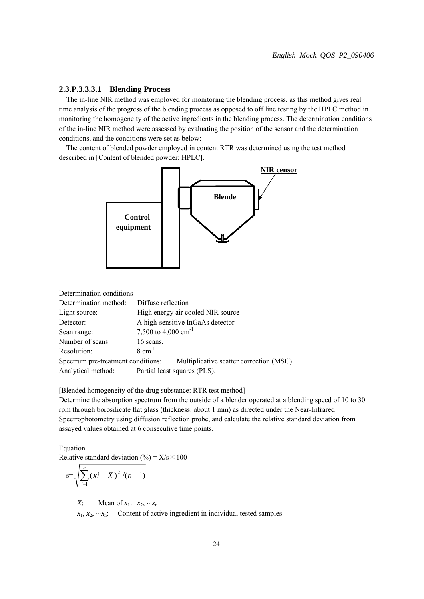# **2.3.P.3.3.3.1 Blending Process**

The in-line NIR method was employed for monitoring the blending process, as this method gives real time analysis of the progress of the blending process as opposed to off line testing by the HPLC method in monitoring the homogeneity of the active ingredients in the blending process. The determination conditions of the in-line NIR method were assessed by evaluating the position of the sensor and the determination conditions, and the conditions were set as below:

The content of blended powder employed in content RTR was determined using the test method described in [Content of blended powder: HPLC].



Determination conditions

| Determination method:              | Diffuse reflection                      |  |
|------------------------------------|-----------------------------------------|--|
| Light source:                      | High energy air cooled NIR source       |  |
| Detector:                          | A high-sensitive InGaAs detector        |  |
| Scan range:                        | 7,500 to 4,000 cm <sup>-1</sup>         |  |
| Number of scans:                   | 16 scans.                               |  |
| Resolution:                        | $8 \text{ cm}^{-1}$                     |  |
| Spectrum pre-treatment conditions: | Multiplicative scatter correction (MSC) |  |
| Analytical method:                 | Partial least squares (PLS).            |  |

[Blended homogeneity of the drug substance: RTR test method]

Determine the absorption spectrum from the outside of a blender operated at a blending speed of 10 to 30 rpm through borosilicate flat glass (thickness: about 1 mm) as directed under the Near-Infrared Spectrophotometry using diffusion reflection probe, and calculate the relative standard deviation from assayed values obtained at 6 consecutive time points.

Equation

Relative standard deviation (%) =  $X/s \times 100$ 

$$
s=\sqrt{\sum_{i=1}^n (xi-\overline{X})^2/(n-1)}
$$

*X*: Mean of  $x_1$ ,  $x_2$ ,  $\cdots x_n$ 

 $x_1, x_2, \dots, x_n$ : Content of active ingredient in individual tested samples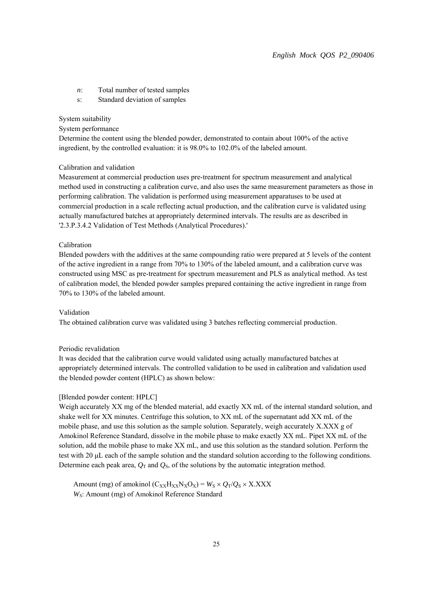- *n*: Total number of tested samples
- s: Standard deviation of samples

#### System suitability

## System performance

Determine the content using the blended powder, demonstrated to contain about 100% of the active ingredient, by the controlled evaluation: it is 98.0% to 102.0% of the labeled amount.

#### Calibration and validation

Measurement at commercial production uses pre-treatment for spectrum measurement and analytical method used in constructing a calibration curve, and also uses the same measurement parameters as those in performing calibration. The validation is performed using measurement apparatuses to be used at commercial production in a scale reflecting actual production, and the calibration curve is validated using actually manufactured batches at appropriately determined intervals. The results are as described in '2.3.P.3.4.2 Validation of Test Methods (Analytical Procedures).'

#### Calibration

Blended powders with the additives at the same compounding ratio were prepared at 5 levels of the content of the active ingredient in a range from 70% to 130% of the labeled amount, and a calibration curve was constructed using MSC as pre-treatment for spectrum measurement and PLS as analytical method. As test of calibration model, the blended powder samples prepared containing the active ingredient in range from 70% to 130% of the labeled amount.

#### Validation

The obtained calibration curve was validated using 3 batches reflecting commercial production.

#### Periodic revalidation

It was decided that the calibration curve would validated using actually manufactured batches at appropriately determined intervals. The controlled validation to be used in calibration and validation used the blended powder content (HPLC) as shown below:

#### [Blended powder content: HPLC]

Weigh accurately XX mg of the blended material, add exactly XX mL of the internal standard solution, and shake well for XX minutes. Centrifuge this solution, to XX mL of the supernatant add XX mL of the mobile phase, and use this solution as the sample solution. Separately, weigh accurately X.XXX g of Amokinol Reference Standard, dissolve in the mobile phase to make exactly XX mL. Pipet XX mL of the solution, add the mobile phase to make XX mL, and use this solution as the standard solution. Perform the test with 20 μL each of the sample solution and the standard solution according to the following conditions. Determine each peak area,  $Q_T$  and  $Q_S$ , of the solutions by the automatic integration method.

Amount (mg) of amokinol  $(C_{XX}H_{XX}N_XO_X) = W_S \times Q_T/Q_S \times X.XXX$ *WS*: Amount (mg) of Amokinol Reference Standard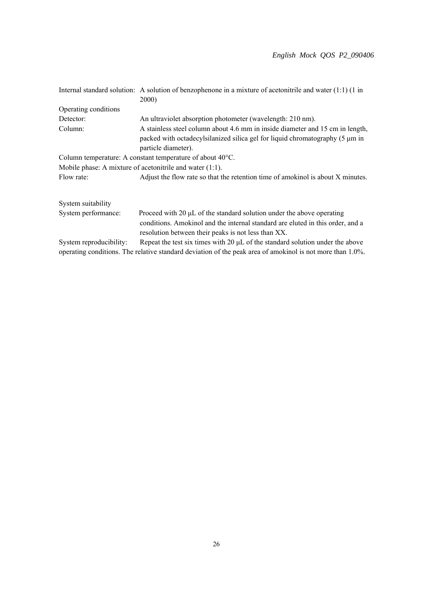|                         | Internal standard solution: A solution of benzophenone in a mixture of acetonitrile and water $(1:1)$ (1 in<br><b>2000</b>                                                                                     |  |
|-------------------------|----------------------------------------------------------------------------------------------------------------------------------------------------------------------------------------------------------------|--|
| Operating conditions    |                                                                                                                                                                                                                |  |
| Detector:               | An ultraviolet absorption photometer (wavelength: 210 nm).                                                                                                                                                     |  |
| Column:                 | A stainless steel column about 4.6 mm in inside diameter and 15 cm in length,<br>packed with octadecylsilanized silica gel for liquid chromatography (5 µm in<br>particle diameter).                           |  |
|                         | Column temperature: A constant temperature of about $40^{\circ}$ C.                                                                                                                                            |  |
|                         | Mobile phase: A mixture of acetonitrile and water $(1:1)$ .                                                                                                                                                    |  |
| Flow rate:              | Adjust the flow rate so that the retention time of amokinol is about X minutes.                                                                                                                                |  |
| System suitability      |                                                                                                                                                                                                                |  |
| System performance:     | Proceed with 20 µL of the standard solution under the above operating<br>conditions. Amokinol and the internal standard are eluted in this order, and a<br>resolution between their peaks is not less than XX. |  |
| System reproducibility: | Repeat the test six times with $20 \mu L$ of the standard solution under the above                                                                                                                             |  |
|                         | operating conditions. The relative standard deviation of the peak area of amokinol is not more than 1.0%.                                                                                                      |  |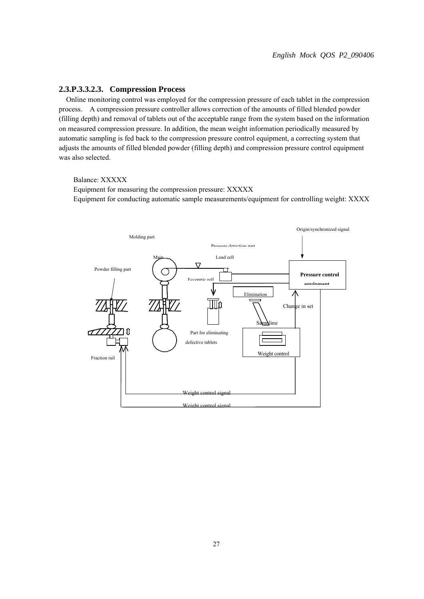## **2.3.P.3.3.2.3. Compression Process**

Online monitoring control was employed for the compression pressure of each tablet in the compression process. A compression pressure controller allows correction of the amounts of filled blended powder (filling depth) and removal of tablets out of the acceptable range from the system based on the information on measured compression pressure. In addition, the mean weight information periodically measured by automatic sampling is fed back to the compression pressure control equipment, a correcting system that adjusts the amounts of filled blended powder (filling depth) and compression pressure control equipment was also selected.

#### Balance: XXXXX

Equipment for measuring the compression pressure: XXXXX Equipment for conducting automatic sample measurements/equipment for controlling weight: XXXX

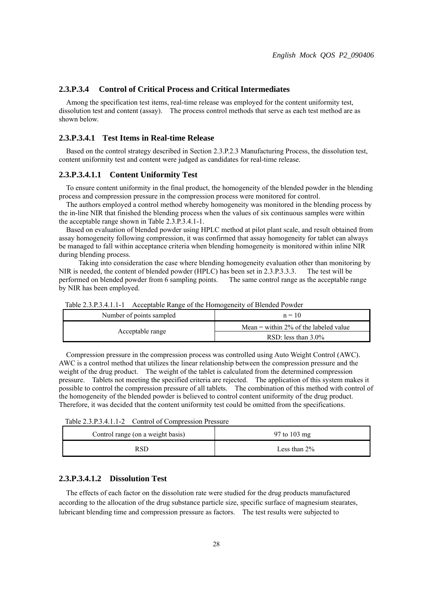# **2.3.P.3.4 Control of Critical Process and Critical Intermediates**

Among the specification test items, real-time release was employed for the content uniformity test, dissolution test and content (assay). The process control methods that serve as each test method are as shown below.

## **2.3.P.3.4.1 Test Items in Real-time Release**

Based on the control strategy described in Section 2.3.P.2.3 Manufacturing Process, the dissolution test, content uniformity test and content were judged as candidates for real-time release.

#### **2.3.P.3.4.1.1 Content Uniformity Test**

To ensure content uniformity in the final product, the homogeneity of the blended powder in the blending process and compression pressure in the compression process were monitored for control.

The authors employed a control method whereby homogeneity was monitored in the blending process by the in-line NIR that finished the blending process when the values of six continuous samples were within the acceptable range shown in Table 2.3.P.3.4.1-1.

Based on evaluation of blended powder using HPLC method at pilot plant scale, and result obtained from assay homogeneity following compression, it was confirmed that assay homogeneity for tablet can always be managed to fall within acceptance criteria when blending homogeneity is monitored within inline NIR during blending process.

 Taking into consideration the case where blending homogeneity evaluation other than monitoring by NIR is needed, the content of blended powder (HPLC) has been set in 2.3.P.3.3.3. The test will be performed on blended powder from 6 sampling points. The same control range as the acceptable range by NIR has been employed.

| Number of points sampled | $n = 10$                              |
|--------------------------|---------------------------------------|
| Acceptable range         | Mean = within 2% of the labeled value |
|                          | RSD: less than $3.0\%$                |

Table 2.3.P.3.4.1.1-1 Acceptable Range of the Homogeneity of Blended Powder

Compression pressure in the compression process was controlled using Auto Weight Control (AWC). AWC is a control method that utilizes the linear relationship between the compression pressure and the weight of the drug product. The weight of the tablet is calculated from the determined compression pressure. Tablets not meeting the specified criteria are rejected. The application of this system makes it possible to control the compression pressure of all tablets. The combination of this method with control of the homogeneity of the blended powder is believed to control content uniformity of the drug product. Therefore, it was decided that the content uniformity test could be omitted from the specifications.

| Control range (on a weight basis) | 97 to 103 mg    |
|-----------------------------------|-----------------|
|                                   | Less than $2\%$ |

# **2.3.P.3.4.1.2 Dissolution Test**

The effects of each factor on the dissolution rate were studied for the drug products manufactured according to the allocation of the drug substance particle size, specific surface of magnesium stearates, lubricant blending time and compression pressure as factors. The test results were subjected to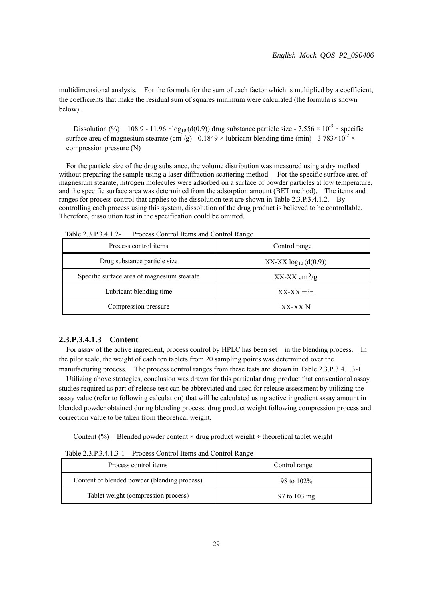multidimensional analysis. For the formula for the sum of each factor which is multiplied by a coefficient, the coefficients that make the residual sum of squares minimum were calculated (the formula is shown below).

Dissolution (%) = 108.9 - 11.96 ×log<sub>10</sub> (d(0.9)) drug substance particle size - 7.556 × 10<sup>-5</sup> × specific surface area of magnesium stearate (cm<sup>2</sup>/g) - 0.1849 × lubricant blending time (min) - 3.783×10<sup>-2</sup> × compression pressure (N)

For the particle size of the drug substance, the volume distribution was measured using a dry method without preparing the sample using a laser diffraction scattering method. For the specific surface area of magnesium stearate, nitrogen molecules were adsorbed on a surface of powder particles at low temperature, and the specific surface area was determined from the adsorption amount (BET method). The items and ranges for process control that applies to the dissolution test are shown in Table 2.3.P.3.4.1.2. By controlling each process using this system, dissolution of the drug product is believed to be controllable. Therefore, dissolution test in the specification could be omitted.

| Process control items                       | Control range             |  |
|---------------------------------------------|---------------------------|--|
| Drug substance particle size                | $XX-XX \log_{10}(d(0.9))$ |  |
| Specific surface area of magnesium stearate | $XX$ -XX cm $2/g$         |  |
| Lubricant blending time                     | XX-XX min                 |  |
| Compression pressure                        | XX-XX N                   |  |

Table 2.3.P.3.4.1.2-1 Process Control Items and Control Range

# **2.3.P.3.4.1.3 Content**

For assay of the active ingredient, process control by HPLC has been set in the blending process. In the pilot scale, the weight of each ten tablets from 20 sampling points was determined over the manufacturing process. The process control ranges from these tests are shown in Table 2.3.P.3.4.1.3-1.

Utilizing above strategies, conclusion was drawn for this particular drug product that conventional assay studies required as part of release test can be abbreviated and used for release assessment by utilizing the assay value (refer to following calculation) that will be calculated using active ingredient assay amount in blended powder obtained during blending process, drug product weight following compression process and correction value to be taken from theoretical weight.

Content (%) = Blended powder content  $\times$  drug product weight  $\div$  theoretical tablet weight

Table 2.3.P.3.4.1.3-1 Process Control Items and Control Range

| Process control items                        | Control range          |
|----------------------------------------------|------------------------|
| Content of blended powder (blending process) | 98 to 102\%            |
| Tablet weight (compression process)          | 97 to $103 \text{ mg}$ |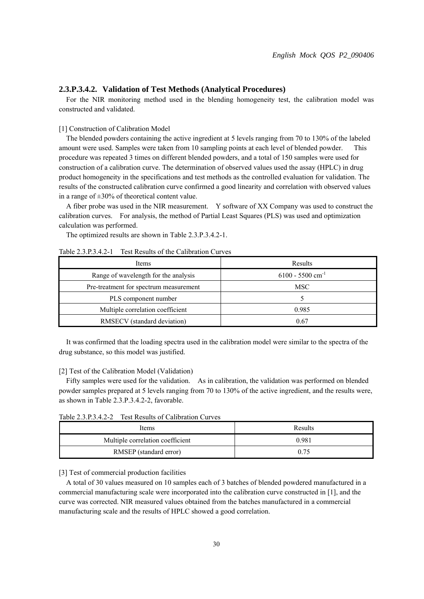#### **2.3.P.3.4.2. Validation of Test Methods (Analytical Procedures)**

For the NIR monitoring method used in the blending homogeneity test, the calibration model was constructed and validated.

#### [1] Construction of Calibration Model

The blended powders containing the active ingredient at 5 levels ranging from 70 to 130% of the labeled amount were used. Samples were taken from 10 sampling points at each level of blended powder. This procedure was repeated 3 times on different blended powders, and a total of 150 samples were used for construction of a calibration curve. The determination of observed values used the assay (HPLC) in drug product homogeneity in the specifications and test methods as the controlled evaluation for validation. The results of the constructed calibration curve confirmed a good linearity and correlation with observed values in a range of  $\pm 30\%$  of theoretical content value.

A fiber probe was used in the NIR measurement. Y software of XX Company was used to construct the calibration curves. For analysis, the method of Partial Least Squares (PLS) was used and optimization calculation was performed.

The optimized results are shown in Table 2.3.P.3.4.2-1.

| Items                                  | Results                        |
|----------------------------------------|--------------------------------|
| Range of wavelength for the analysis   | $6100 - 5500$ cm <sup>-1</sup> |
| Pre-treatment for spectrum measurement | MSC                            |
| PLS component number                   |                                |
| Multiple correlation coefficient       | 0.985                          |
| RMSECV (standard deviation)            | 0.67                           |

# Table 2.3.P.3.4.2-1 Test Results of the Calibration Curves

It was confirmed that the loading spectra used in the calibration model were similar to the spectra of the drug substance, so this model was justified.

#### [2] Test of the Calibration Model (Validation)

Fifty samples were used for the validation. As in calibration, the validation was performed on blended powder samples prepared at 5 levels ranging from 70 to 130% of the active ingredient, and the results were, as shown in Table 2.3.P.3.4.2-2, favorable.

Table 2.3.P.3.4.2-2 Test Results of Calibration Curves

| Items                            | Results |
|----------------------------------|---------|
| Multiple correlation coefficient | 0.981   |
| RMSEP (standard error)           | 0.75    |

#### [3] Test of commercial production facilities

A total of 30 values measured on 10 samples each of 3 batches of blended powdered manufactured in a commercial manufacturing scale were incorporated into the calibration curve constructed in [1], and the curve was corrected. NIR measured values obtained from the batches manufactured in a commercial manufacturing scale and the results of HPLC showed a good correlation.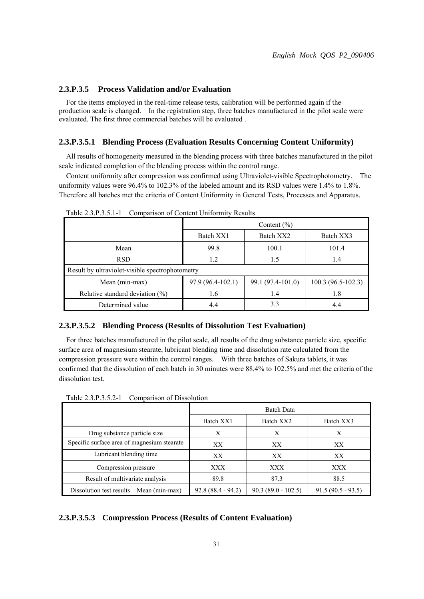# **2.3.P.3.5 Process Validation and/or Evaluation**

For the items employed in the real-time release tests, calibration will be performed again if the production scale is changed. In the registration step, three batches manufactured in the pilot scale were evaluated. The first three commercial batches will be evaluated .

#### **2.3.P.3.5.1 Blending Process (Evaluation Results Concerning Content Uniformity)**

All results of homogeneity measured in the blending process with three batches manufactured in the pilot scale indicated completion of the blending process within the control range.

Content uniformity after compression was confirmed using Ultraviolet-visible Spectrophotometry. The uniformity values were 96.4% to 102.3% of the labeled amount and its RSD values were 1.4% to 1.8%. Therefore all batches met the criteria of Content Uniformity in General Tests, Processes and Apparatus.

|                                                 | Content $(\% )$   |                        |                     |  |  |  |  |
|-------------------------------------------------|-------------------|------------------------|---------------------|--|--|--|--|
|                                                 | Batch XX1         | Batch XX2<br>Batch XX3 |                     |  |  |  |  |
| Mean                                            | 99.8              | 100.1                  | 101.4               |  |  |  |  |
| <b>RSD</b>                                      | 1.2               | 1.5                    | 1.4                 |  |  |  |  |
| Result by ultraviolet-visible spectrophotometry |                   |                        |                     |  |  |  |  |
| Mean (min-max)                                  | 97.9 (96.4-102.1) | 99.1 (97.4-101.0)      | $100.3(96.5-102.3)$ |  |  |  |  |
| Relative standard deviation $(\%)$              | 1.6               | 1.4                    | 1.8                 |  |  |  |  |
| Determined value                                | 4.4               | 3.3                    | 4.4                 |  |  |  |  |

Table 2.3.P.3.5.1-1 Comparison of Content Uniformity Results

# **2.3.P.3.5.2 Blending Process (Results of Dissolution Test Evaluation)**

For three batches manufactured in the pilot scale, all results of the drug substance particle size, specific surface area of magnesium stearate, lubricant blending time and dissolution rate calculated from the compression pressure were within the control ranges. With three batches of Sakura tablets, it was confirmed that the dissolution of each batch in 30 minutes were 88.4% to 102.5% and met the criteria of the dissolution test.

|                                             | <b>Batch Data</b>   |                      |                     |  |  |
|---------------------------------------------|---------------------|----------------------|---------------------|--|--|
|                                             | Batch XX1           | Batch XX2            | Batch XX3           |  |  |
| Drug substance particle size                | X                   | X                    | X                   |  |  |
| Specific surface area of magnesium stearate | XX                  | XX                   | XX                  |  |  |
| Lubricant blending time                     | XX                  | XX                   | XX                  |  |  |
| Compression pressure                        | XXX                 | <b>XXX</b>           | XXX                 |  |  |
| Result of multivariate analysis             | 89.8                | 87.3                 | 88.5                |  |  |
| Dissolution test results<br>Mean (min-max)  | $92.8(88.4 - 94.2)$ | $90.3(89.0 - 102.5)$ | $91.5(90.5 - 93.5)$ |  |  |

Table 2.3.P.3.5.2-1 Comparison of Dissolution

# **2.3.P.3.5.3 Compression Process (Results of Content Evaluation)**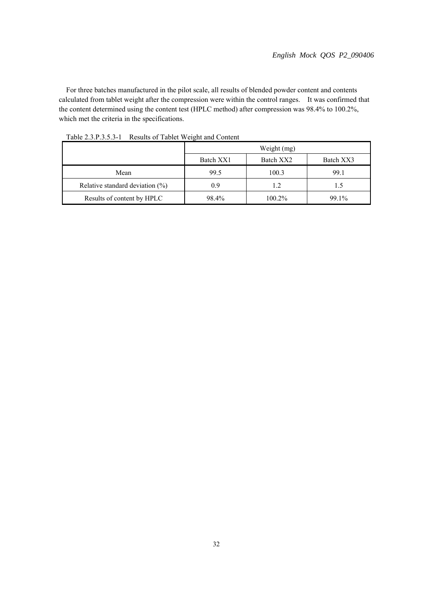For three batches manufactured in the pilot scale, all results of blended powder content and contents calculated from tablet weight after the compression were within the control ranges. It was confirmed that the content determined using the content test (HPLC method) after compression was 98.4% to 100.2%, which met the criteria in the specifications.

|                                    | Weight (mg)                         |        |       |  |  |
|------------------------------------|-------------------------------------|--------|-------|--|--|
|                                    | Batch XX1<br>Batch XX2<br>Batch XX3 |        |       |  |  |
| Mean                               | 99.5                                | 100.3  | 99.1  |  |  |
| Relative standard deviation $(\%)$ | 09                                  | 1.2    |       |  |  |
| Results of content by HPLC         | 98.4%                               | 100.2% | 99.1% |  |  |

Table 2.3.P.3.5.3-1 Results of Tablet Weight and Content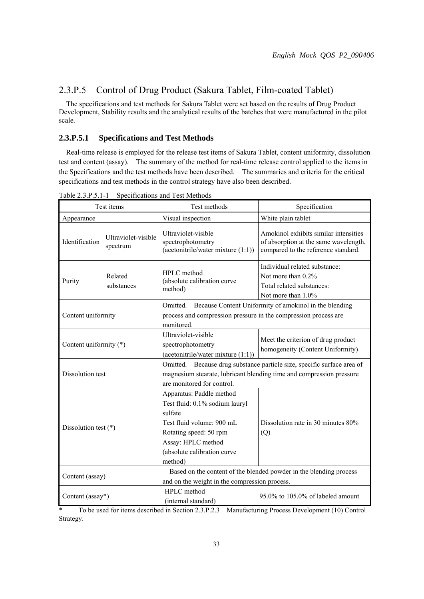# 2.3.P.5 Control of Drug Product (Sakura Tablet, Film-coated Tablet)

The specifications and test methods for Sakura Tablet were set based on the results of Drug Product Development, Stability results and the analytical results of the batches that were manufactured in the pilot scale.

# **2.3.P.5.1 Specifications and Test Methods**

Real-time release is employed for the release test items of Sakura Tablet, content uniformity, dissolution test and content (assay). The summary of the method for real-time release control applied to the items in the Specifications and the test methods have been described. The summaries and criteria for the critical specifications and test methods in the control strategy have also been described.

|                        | Test items                      | Test methods                                                                                                                                                                                 | Specification                                                                                                                          |
|------------------------|---------------------------------|----------------------------------------------------------------------------------------------------------------------------------------------------------------------------------------------|----------------------------------------------------------------------------------------------------------------------------------------|
| Appearance             |                                 | Visual inspection                                                                                                                                                                            | White plain tablet                                                                                                                     |
| Identification         | Ultraviolet-visible<br>spectrum | Ultraviolet-visible<br>spectrophotometry<br>$(\text{acetonitrile/water mixture } (1:1))$                                                                                                     | Amokinol exhibits similar intensities<br>of absorption at the same wavelength,<br>compared to the reference standard.                  |
| Purity                 | Related<br>substances           | HPLC method<br>(absolute calibration curve<br>method)                                                                                                                                        | Individual related substance:<br>Not more than 0.2%<br>Total related substances:<br>Not more than 1.0%                                 |
| Content uniformity     |                                 | Omitted. Because Content Uniformity of amokinol in the blending<br>process and compression pressure in the compression process are<br>monitored.                                             |                                                                                                                                        |
| Content uniformity (*) |                                 | Ultraviolet-visible<br>spectrophotometry<br>$(\text{acetonitrile}/\text{water mixture}(1:1))$                                                                                                | Meet the criterion of drug product<br>homogeneity (Content Uniformity)                                                                 |
| Dissolution test       |                                 | Omitted.<br>are monitored for control.                                                                                                                                                       | Because drug substance particle size, specific surface area of<br>magnesium stearate, lubricant blending time and compression pressure |
| Dissolution test $(*)$ |                                 | Apparatus: Paddle method<br>Test fluid: 0.1% sodium lauryl<br>sulfate<br>Test fluid volume: 900 mL<br>Rotating speed: 50 rpm<br>Assay: HPLC method<br>(absolute calibration curve<br>method) | Dissolution rate in 30 minutes 80%<br>(Q)                                                                                              |
| Content (assay)        |                                 | and on the weight in the compression process.                                                                                                                                                | Based on the content of the blended powder in the blending process                                                                     |
| Content (assay*)       |                                 | HPLC method<br>(internal standard)                                                                                                                                                           | 95.0% to 105.0% of labeled amount                                                                                                      |

Table 2.3.P.5.1-1 Specifications and Test Methods

\* To be used for items described in Section 2.3.P.2.3 Manufacturing Process Development (10) Control Strategy.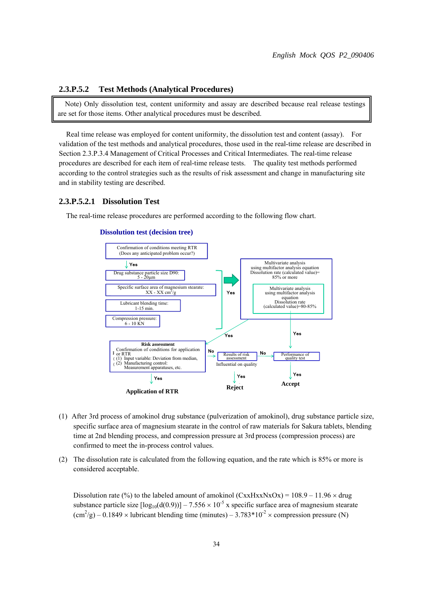## **2.3.P.5.2 Test Methods (Analytical Procedures)**

Note) Only dissolution test, content uniformity and assay are described because real release testings are set for those items. Other analytical procedures must be described.

Real time release was employed for content uniformity, the dissolution test and content (assay). For validation of the test methods and analytical procedures, those used in the real-time release are described in Section 2.3.P.3.4 Management of Critical Processes and Critical Intermediates. The real-time release procedures are described for each item of real-time release tests. The quality test methods performed according to the control strategies such as the results of risk assessment and change in manufacturing site and in stability testing are described.

#### **2.3.P.5.2.1 Dissolution Test**

The real-time release procedures are performed according to the following flow chart.



### **Dissolution test (decision tree)**

- (1) After 3rd process of amokinol drug substance (pulverization of amokinol), drug substance particle size, specific surface area of magnesium stearate in the control of raw materials for Sakura tablets, blending time at 2nd blending process, and compression pressure at 3rd process (compression process) are confirmed to meet the in-process control values.
- (2) The dissolution rate is calculated from the following equation, and the rate which is 85% or more is considered acceptable.

Dissolution rate (%) to the labeled amount of amokinol  $(CxxHxxNxOx) = 108.9 - 11.96 \times d\text{ru}$ substance particle size  $\lceil \log_{10}(d(0.9)) \rceil - 7.556 \times 10^{-5}$  x specific surface area of magnesium stearate  $\text{(cm}^2/\text{g})$  – 0.1849  $\times$  lubricant blending time (minutes) – 3.783\*10<sup>-2</sup>  $\times$  compression pressure (N)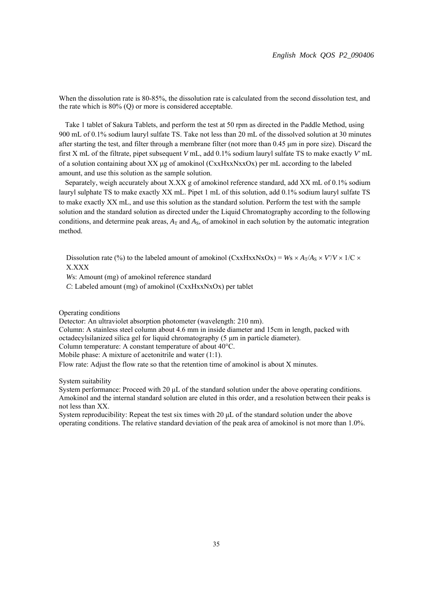When the dissolution rate is 80-85%, the dissolution rate is calculated from the second dissolution test, and the rate which is 80% (Q) or more is considered acceptable.

Take 1 tablet of Sakura Tablets, and perform the test at 50 rpm as directed in the Paddle Method, using 900 mL of 0.1% sodium lauryl sulfate TS. Take not less than 20 mL of the dissolved solution at 30 minutes after starting the test, and filter through a membrane filter (not more than 0.45 μm in pore size). Discard the first X mL of the filtrate, pipet subsequent *V* mL, add 0.1% sodium lauryl sulfate TS to make exactly *V'* mL of a solution containing about XX μg of amokinol (CxxHxxNxxOx) per mL according to the labeled amount, and use this solution as the sample solution.

Separately, weigh accurately about X.XX g of amokinol reference standard, add XX mL of 0.1% sodium lauryl sulphate TS to make exactly XX mL. Pipet 1 mL of this solution, add 0.1% sodium lauryl sulfate TS to make exactly XX mL, and use this solution as the standard solution. Perform the test with the sample solution and the standard solution as directed under the Liquid Chromatography according to the following conditions, and determine peak areas,  $A_T$  and  $A_S$ , of amokinol in each solution by the automatic integration method.

Dissolution rate (%) to the labeled amount of amokinol (CxxHxxNxOx) =  $W_s \times A_T/A_s \times V/V \times 1/C \times$ X.XXX

*W*s: Amount (mg) of amokinol reference standard

*C*: Labeled amount (mg) of amokinol (CxxHxxNxOx) per tablet

Operating conditions

Detector: An ultraviolet absorption photometer (wavelength: 210 nm).

Column: A stainless steel column about 4.6 mm in inside diameter and 15cm in length, packed with octadecylsilanized silica gel for liquid chromatography (5 μm in particle diameter).

Column temperature: A constant temperature of about 40°C.

Mobile phase: A mixture of acetonitrile and water (1:1).

Flow rate: Adjust the flow rate so that the retention time of amokinol is about X minutes.

System suitability

System performance: Proceed with 20 μL of the standard solution under the above operating conditions. Amokinol and the internal standard solution are eluted in this order, and a resolution between their peaks is not less than XX.

System reproducibility: Repeat the test six times with 20 μL of the standard solution under the above operating conditions. The relative standard deviation of the peak area of amokinol is not more than 1.0%.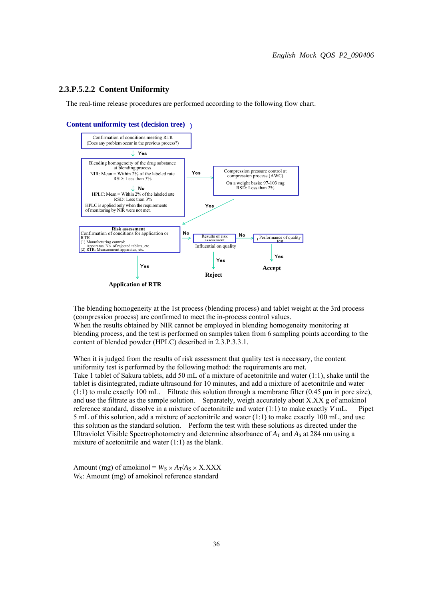## **2.3.P.5.2.2 Content Uniformity**

The real-time release procedures are performed according to the following flow chart.





**Application of RTR** 

The blending homogeneity at the 1st process (blending process) and tablet weight at the 3rd process (compression process) are confirmed to meet the in-process control values. When the results obtained by NIR cannot be employed in blending homogeneity monitoring at blending process, and the test is performed on samples taken from 6 sampling points according to the content of blended powder (HPLC) described in 2.3.P.3.3.1.

When it is judged from the results of risk assessment that quality test is necessary, the content uniformity test is performed by the following method: the requirements are met. Take 1 tablet of Sakura tablets, add 50 mL of a mixture of acetonitrile and water (1:1), shake until the tablet is disintegrated, radiate ultrasound for 10 minutes, and add a mixture of acetonitrile and water (1:1) to male exactly 100 mL. Filtrate this solution through a membrane filter (0.45 μm in pore size), and use the filtrate as the sample solution. Separately, weigh accurately about X.XX g of amokinol reference standard, dissolve in a mixture of acetonitrile and water (1:1) to make exactly *V* mL. Pipet 5 mL of this solution, add a mixture of acetonitrile and water (1:1) to make exactly 100 mL, and use this solution as the standard solution. Perform the test with these solutions as directed under the Ultraviolet Visible Spectrophotometry and determine absorbance of  $A_T$  and  $A_S$  at 284 nm using a mixture of acetonitrile and water (1:1) as the blank.

Amount (mg) of amokinol =  $W_S \times A_T/A_S \times X.XXX$ *W<sub>S</sub>*: Amount (mg) of amokinol reference standard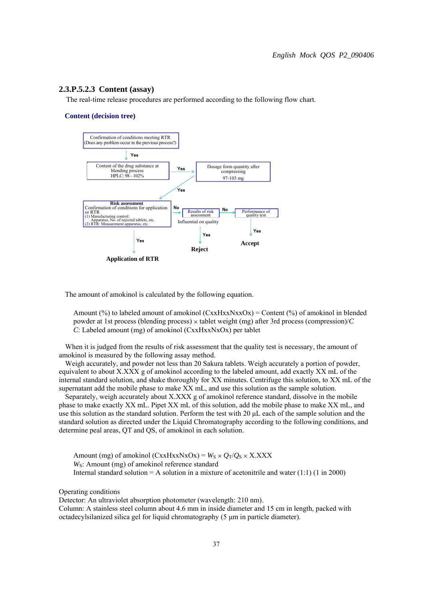#### **2.3.P.5.2.3 Content (assay)**

The real-time release procedures are performed according to the following flow chart.

#### **Content (decision tree)**



The amount of amokinol is calculated by the following equation.

Amount  $(\%)$  to labeled amount of amokinol  $(CxxHxxNxXox) =$  Content  $(\%)$  of amokinol in blended powder at 1st process (blending process)  $\times$  tablet weight (mg) after 3rd process (compression)/*C C*: Labeled amount (mg) of amokinol (CxxHxxNxOx) per tablet

When it is judged from the results of risk assessment that the quality test is necessary, the amount of amokinol is measured by the following assay method.

Weigh accurately, and powder not less than 20 Sakura tablets. Weigh accurately a portion of powder, equivalent to about  $X.XXX$  g of amokinol according to the labeled amount, add exactly  $XX$  mL of the internal standard solution, and shake thoroughly for XX minutes. Centrifuge this solution, to XX mL of the supernatant add the mobile phase to make XX mL, and use this solution as the sample solution.

Separately, weigh accurately about X.XXX g of amokinol reference standard, dissolve in the mobile phase to make exactly XX mL. Pipet XX mL of this solution, add the mobile phase to make XX mL, and use this solution as the standard solution. Perform the test with 20 μL each of the sample solution and the standard solution as directed under the Liquid Chromatography according to the following conditions, and determine peal areas, QT and QS, of amokinol in each solution.

Amount (mg) of amokinol (CxxHxxNxOx) =  $W_S \times Q_T/Q_S \times X.XXX$ *W<sub>S</sub>*: Amount (mg) of amokinol reference standard Internal standard solution  $= A$  solution in a mixture of acetonitrile and water (1:1) (1 in 2000)

Operating conditions

Detector: An ultraviolet absorption photometer (wavelength: 210 nm).

Column: A stainless steel column about 4.6 mm in inside diameter and 15 cm in length, packed with octadecylsilanized silica gel for liquid chromatography (5 μm in particle diameter).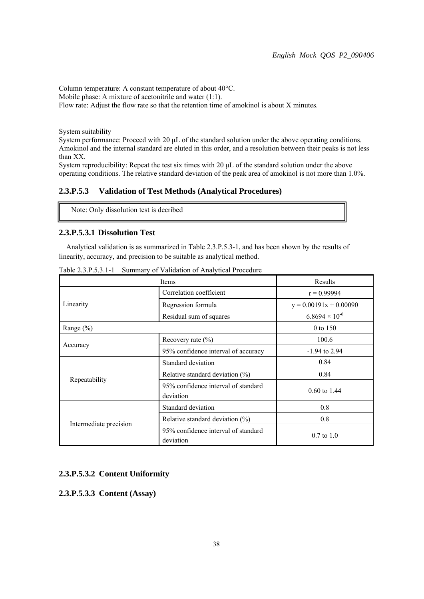Column temperature: A constant temperature of about 40°C. Mobile phase: A mixture of acetonitrile and water (1:1). Flow rate: Adjust the flow rate so that the retention time of amokinol is about X minutes.

System suitability

System performance: Proceed with 20 μL of the standard solution under the above operating conditions. Amokinol and the internal standard are eluted in this order, and a resolution between their peaks is not less than XX.

System reproducibility: Repeat the test six times with 20 μL of the standard solution under the above operating conditions. The relative standard deviation of the peak area of amokinol is not more than 1.0%.

# **2.3.P.5.3 Validation of Test Methods (Analytical Procedures)**

Note: Only dissolution test is decribed

# **2.3.P.5.3.1 Dissolution Test**

Analytical validation is as summarized in Table 2.3.P.5.3-1, and has been shown by the results of linearity, accuracy, and precision to be suitable as analytical method.

|                        | Items                                            | Results                  |
|------------------------|--------------------------------------------------|--------------------------|
|                        | Correlation coefficient                          | $r = 0.99994$            |
| Linearity              | Regression formula                               | $y = 0.00191x + 0.00090$ |
|                        | Residual sum of squares                          | $6.8694 \times 10^{-6}$  |
| Range $(\% )$          |                                                  | 0 to 150                 |
|                        | Recovery rate $(\% )$                            | 100.6                    |
| Accuracy               | 95% confidence interval of accuracy              | $-1.94$ to 2.94          |
|                        | Standard deviation                               | 0.84                     |
|                        | Relative standard deviation $(\%)$               | 0.84                     |
| Repeatability          | 95% confidence interval of standard<br>deviation | $0.60 \text{ to } 1.44$  |
|                        | Standard deviation                               | 0.8                      |
|                        | Relative standard deviation $(\%)$               | 0.8                      |
| Intermediate precision | 95% confidence interval of standard<br>deviation | $0.7 \text{ to } 1.0$    |

Table 2.3.P.5.3.1-1 Summary of Validation of Analytical Procedure

# **2.3.P.5.3.2 Content Uniformity**

**2.3.P.5.3.3 Content (Assay)**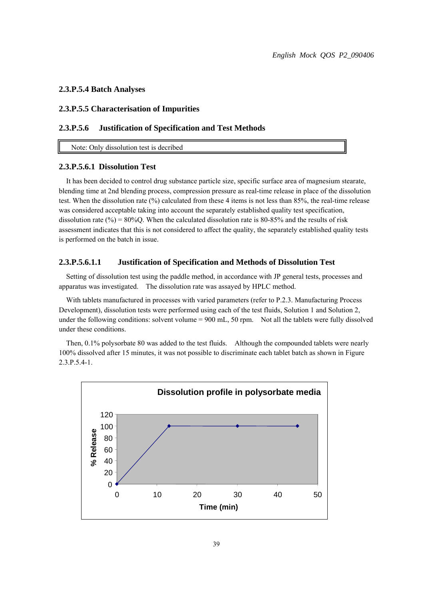# **2.3.P.5.4 Batch Analyses**

# **2.3.P.5.5 Characterisation of Impurities**

# **2.3.P.5.6 Justification of Specification and Test Methods**

Note: Only dissolution test is decribed

# **2.3.P.5.6.1 Dissolution Test**

It has been decided to control drug substance particle size, specific surface area of magnesium stearate, blending time at 2nd blending process, compression pressure as real-time release in place of the dissolution test. When the dissolution rate (%) calculated from these 4 items is not less than 85%, the real-time release was considered acceptable taking into account the separately established quality test specification, dissolution rate (%) =  $80\%$ Q. When the calculated dissolution rate is 80-85% and the results of risk assessment indicates that this is not considered to affect the quality, the separately established quality tests is performed on the batch in issue.

# **2.3.P.5.6.1.1 Justification of Specification and Methods of Dissolution Test**

Setting of dissolution test using the paddle method, in accordance with JP general tests, processes and apparatus was investigated. The dissolution rate was assayed by HPLC method.

With tablets manufactured in processes with varied parameters (refer to P.2.3. Manufacturing Process Development), dissolution tests were performed using each of the test fluids, Solution 1 and Solution 2, under the following conditions: solvent volume =  $900$  mL,  $50$  rpm. Not all the tablets were fully dissolved under these conditions.

Then, 0.1% polysorbate 80 was added to the test fluids. Although the compounded tablets were nearly 100% dissolved after 15 minutes, it was not possible to discriminate each tablet batch as shown in Figure 2.3.P.5.4-1.

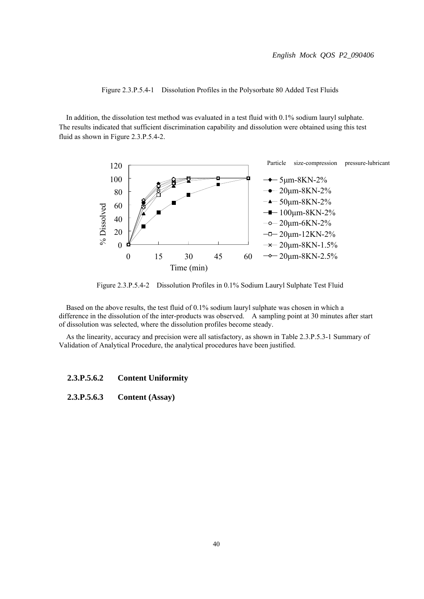Figure 2.3.P.5.4-1 Dissolution Profiles in the Polysorbate 80 Added Test Fluids

In addition, the dissolution test method was evaluated in a test fluid with 0.1% sodium lauryl sulphate. The results indicated that sufficient discrimination capability and dissolution were obtained using this test fluid as shown in Figure 2.3.P.5.4-2.



Figure 2.3.P.5.4-2 Dissolution Profiles in 0.1% Sodium Lauryl Sulphate Test Fluid

Based on the above results, the test fluid of 0.1% sodium lauryl sulphate was chosen in which a difference in the dissolution of the inter-products was observed. A sampling point at 30 minutes after start of dissolution was selected, where the dissolution profiles become steady.

As the linearity, accuracy and precision were all satisfactory, as shown in Table 2.3.P.5.3-1 Summary of Validation of Analytical Procedure, the analytical procedures have been justified.

# **2.3.P.5.6.2 Content Uniformity**

# **2.3.P.5.6.3 Content (Assay)**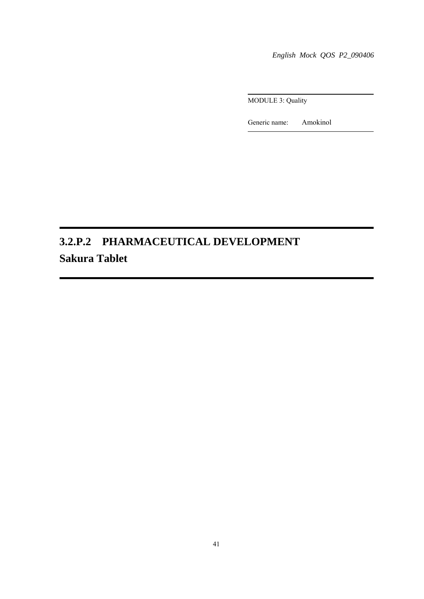*English Mock QOS P2\_090406*

MODULE 3: Quality

Generic name: Amokinol

# **3.2.P.2 PHARMACEUTICAL DEVELOPMENT Sakura Tablet**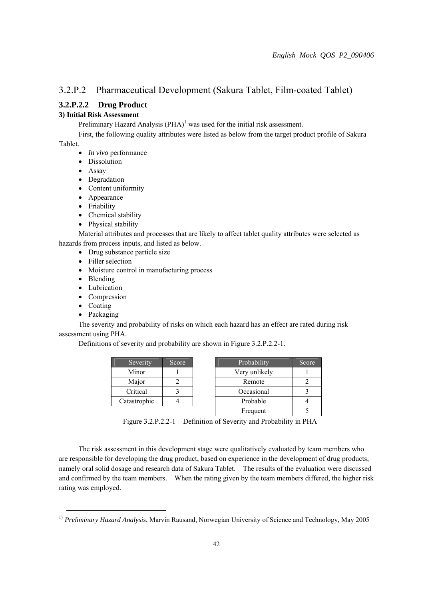# 3.2.P.2 Pharmaceutical Development (Sakura Tablet, Film-coated Tablet)

# **3.2.P.2.2 Drug Product**

# **3) Initial Risk Assessment**

Preliminary Hazard Analysis  $(PHA)^1$  was used for the initial risk assessment.

 First, the following quality attributes were listed as below from the target product profile of Sakura Tablet.

- *In vivo* performance
- Dissolution
- Assay
- Degradation
- Content uniformity
- Appearance
- Friability
- Chemical stability
- Physical stability

 Material attributes and processes that are likely to affect tablet quality attributes were selected as hazards from process inputs, and listed as below.

- Drug substance particle size
- Filler selection
- Moisture control in manufacturing process
- Blending
- Lubrication
- Compression
- Coating
- Packaging

 The severity and probability of risks on which each hazard has an effect are rated during risk assessment using PHA.

Definitions of severity and probability are shown in Figure 3.2.P.2.2-1.

| Severity     | Score |
|--------------|-------|
| Minor        |       |
| Major        |       |
| Critical     |       |
| Catastrophic |       |

| Severity     | Score | Probability   | Score |
|--------------|-------|---------------|-------|
| Minor        |       | Very unlikely |       |
| Major        |       | Remote        |       |
| Critical     |       | Occasional    |       |
| Catastrophic |       | Probable      |       |
|              |       | Frequent      |       |

Figure 3.2.P.2.2-1 Definition of Severity and Probability in PHA

 The risk assessment in this development stage were qualitatively evaluated by team members who are responsible for developing the drug product, based on experience in the development of drug products, namely oral solid dosage and research data of Sakura Tablet. The results of the evaluation were discussed and confirmed by the team members. When the rating given by the team members differed, the higher risk rating was employed.

 <sup>1)</sup> *Preliminary Hazard Analysis*, Marvin Rausand, Norwegian University of Science and Technology, May 2005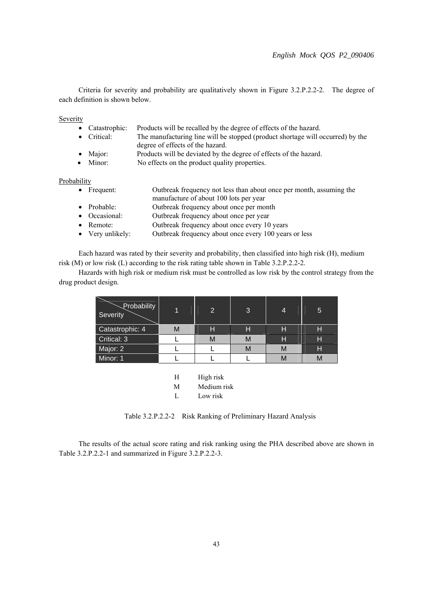Criteria for severity and probability are qualitatively shown in Figure 3.2.P.2.2-2. The degree of each definition is shown below.

**Severity** 

- Catastrophic: Products will be recalled by the degree of effects of the hazard.
- Critical: The manufacturing line will be stopped (product shortage will occurred) by the degree of effects of the hazard.
- Major: Products will be deviated by the degree of effects of the hazard.
- Minor: No effects on the product quality properties.

#### **Probability**

| $\bullet$ Frequent: | Outbreak frequency not less than about once per month, assuming the |
|---------------------|---------------------------------------------------------------------|
|                     | manufacture of about 100 lots per year                              |

- Probable: Outbreak frequency about once per month
- 
- Occasional: Outbreak frequency about once per year<br>• Remote: Outbreak frequency about once every 10 Outbreak frequency about once every 10 years
- Very unlikely: Outbreak frequency about once every 100 years or less

 Each hazard was rated by their severity and probability, then classified into high risk (H), medium risk (M) or low risk (L) according to the risk rating table shown in Table 3.2.P.2.2-2.

 Hazards with high risk or medium risk must be controlled as low risk by the control strategy from the drug product design.

| Probability<br>Severity |   | $\overline{2}$ | 3 | 4 | 5 |
|-------------------------|---|----------------|---|---|---|
| Catastrophic: 4         | M | Н              | Н | H | н |
| Critical: 3             |   | М              | M | Н | Н |
| Major: 2                |   |                | M | М | Н |
| Minor: 1                |   |                |   | M |   |

H High risk

M Medium risk

L Low risk

Table 3.2.P.2.2-2 Risk Ranking of Preliminary Hazard Analysis

 The results of the actual score rating and risk ranking using the PHA described above are shown in Table 3.2.P.2.2-1 and summarized in Figure 3.2.P.2.2-3.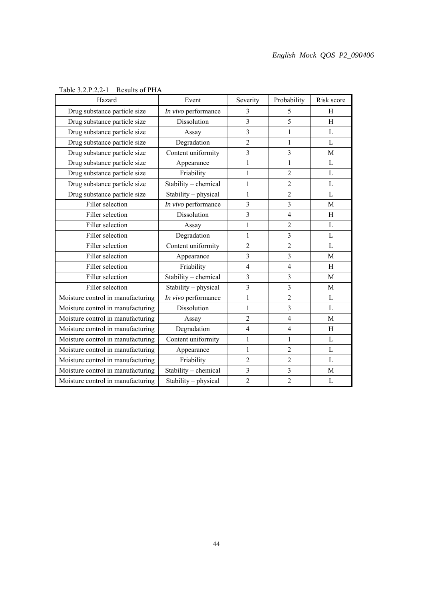| Hazard                            | Event                | Severity                | Probability             | Risk score  |
|-----------------------------------|----------------------|-------------------------|-------------------------|-------------|
| Drug substance particle size      | In vivo performance  | 3                       | 5                       | Η           |
| Drug substance particle size      | Dissolution          | $\overline{\mathbf{3}}$ | 5                       | H           |
| Drug substance particle size      | Assay                | 3                       | 1                       | L           |
| Drug substance particle size      | Degradation          | $\overline{c}$          | 1                       | L           |
| Drug substance particle size      | Content uniformity   | 3                       | 3                       | M           |
| Drug substance particle size      | Appearance           | 1                       | 1                       | L           |
| Drug substance particle size      | Friability           | $\mathbf{1}$            | $\overline{2}$          | L           |
| Drug substance particle size      | Stability - chemical | $\mathbf{1}$            | $\overline{c}$          | L           |
| Drug substance particle size      | Stability - physical | 1                       | $\overline{2}$          | L           |
| Filler selection                  | In vivo performance  | 3                       | $\overline{3}$          | M           |
| Filler selection                  | Dissolution          | 3                       | 4                       | H           |
| Filler selection                  | Assay                | $\mathbf{1}$            | $\overline{2}$          | L           |
| Filler selection                  | Degradation          | $\mathbf{1}$            | $\overline{3}$          | L           |
| Filler selection                  | Content uniformity   | $\overline{2}$          | $\overline{2}$          | L           |
| Filler selection                  | Appearance           | 3                       | 3                       | $\mathbf M$ |
| Filler selection                  | Friability           | $\overline{4}$          | $\overline{4}$          | H           |
| Filler selection                  | Stability - chemical | 3                       | 3                       | M           |
| Filler selection                  | Stability - physical | 3                       | $\overline{3}$          | M           |
| Moisture control in manufacturing | In vivo performance  | $\mathbf{1}$            | $\overline{c}$          | L           |
| Moisture control in manufacturing | Dissolution          | 1                       | $\overline{3}$          | L           |
| Moisture control in manufacturing | Assay                | $\overline{c}$          | $\overline{4}$          | M           |
| Moisture control in manufacturing | Degradation          | 4                       | $\overline{4}$          | H           |
| Moisture control in manufacturing | Content uniformity   | $\mathbf{1}$            | $\mathbf{1}$            | L           |
| Moisture control in manufacturing | Appearance           | 1                       | 2                       | L           |
| Moisture control in manufacturing | Friability           | $\overline{2}$          | $\overline{2}$          | L           |
| Moisture control in manufacturing | Stability - chemical | 3                       | $\overline{\mathbf{3}}$ | M           |
| Moisture control in manufacturing | Stability - physical | $\overline{c}$          | $\overline{2}$          | L           |

# Table 3.2.P.2.2-1 Results of PHA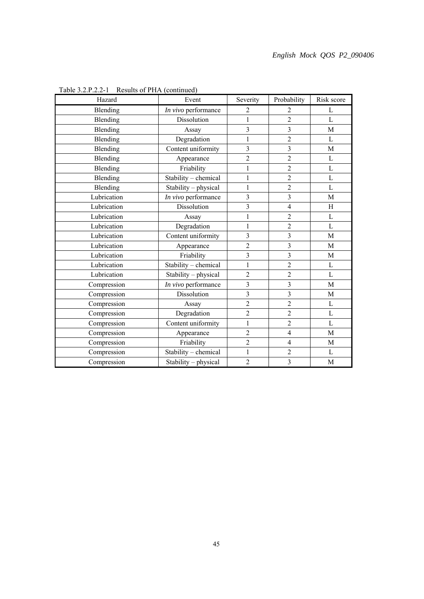| Hazard      | Event                | Severity                | Probability             | Risk score     |
|-------------|----------------------|-------------------------|-------------------------|----------------|
| Blending    | In vivo performance  | 2                       | 2                       | L              |
| Blending    | Dissolution          | 1                       | $\overline{2}$          | $\overline{L}$ |
| Blending    | Assay                | $\overline{\mathbf{3}}$ | $\overline{\mathbf{3}}$ | $\mathbf{M}$   |
| Blending    | Degradation          | $\mathbf{1}$            | $\overline{2}$          | L              |
| Blending    | Content uniformity   | 3                       | 3                       | $\mathbf M$    |
| Blending    | Appearance           | $\overline{c}$          | $\overline{2}$          | $\overline{L}$ |
| Blending    | Friability           | $\mathbf{1}$            | $\overline{2}$          | L              |
| Blending    | Stability - chemical | $\,1$                   | $\overline{2}$          | $\Gamma$       |
| Blending    | Stability - physical | $\,1$                   | $\overline{2}$          | L              |
| Lubrication | In vivo performance  | 3                       | $\overline{3}$          | M              |
| Lubrication | Dissolution          | $\overline{\mathbf{3}}$ | $\overline{4}$          | H              |
| Lubrication | Assay                | $\mathbf{1}$            | $\overline{c}$          | $\overline{L}$ |
| Lubrication | Degradation          | $\,1$                   | $\overline{2}$          | L              |
| Lubrication | Content uniformity   | 3                       | $\overline{3}$          | M              |
| Lubrication | Appearance           | $\overline{c}$          | $\overline{\mathbf{3}}$ | M              |
| Lubrication | Friability           | $\overline{\mathbf{3}}$ | 3                       | M              |
| Lubrication | Stability - chemical | $\mathbf{1}$            | $\overline{2}$          | L              |
| Lubrication | Stability - physical | $\overline{c}$          | $\overline{2}$          | L              |
| Compression | In vivo performance  | $\overline{\mathbf{3}}$ | $\overline{3}$          | M              |
| Compression | Dissolution          | $\overline{\mathbf{3}}$ | $\overline{\mathbf{3}}$ | M              |
| Compression | Assay                | $\overline{c}$          | $\overline{2}$          | L              |
| Compression | Degradation          | $\overline{c}$          | $\overline{2}$          | L              |
| Compression | Content uniformity   | $\mathbf{1}$            | $\overline{2}$          | L              |
| Compression | Appearance           | $\overline{2}$          | $\overline{4}$          | M              |
| Compression | Friability           | $\overline{c}$          | $\overline{4}$          | M              |
| Compression | Stability - chemical | $\mathbf{1}$            | $\overline{c}$          | L              |
| Compression | Stability - physical | $\overline{2}$          | 3                       | M              |

Table 3.2.P.2.2-1 Results of PHA (continued)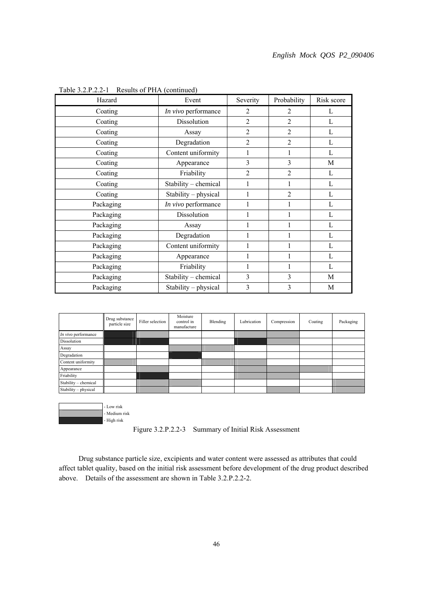| Hazard    | Event                | Severity       | Probability    | Risk score |
|-----------|----------------------|----------------|----------------|------------|
| Coating   | In vivo performance  | 2              | 2              | L          |
| Coating   | Dissolution          | $\overline{2}$ | 2              | L          |
| Coating   | Assay                | $\overline{2}$ | $\overline{2}$ | L          |
| Coating   | Degradation          | $\overline{2}$ | $\overline{2}$ | L          |
| Coating   | Content uniformity   | 1              |                | L          |
| Coating   | Appearance           | 3              | 3              | M          |
| Coating   | Friability           | $\overline{2}$ | $\overline{2}$ | L          |
| Coating   | Stability - chemical |                |                | L          |
| Coating   | Stability - physical |                | $\overline{2}$ | L          |
| Packaging | In vivo performance  |                |                | L          |
| Packaging | Dissolution          |                |                | L          |
| Packaging | Assay                |                |                | L          |
| Packaging | Degradation          |                |                | L          |
| Packaging | Content uniformity   |                |                | L          |
| Packaging | Appearance           |                |                | L          |
| Packaging | Friability           | 1              |                | L          |
| Packaging | Stability - chemical | 3              | 3              | M          |
| Packaging | Stability - physical | 3              | 3              | M          |

Table 3.2.P.2.2-1 Results of PHA (continued)



 - Low risk - Medium risk - High risk

Figure 3.2.P.2.2-3 Summary of Initial Risk Assessment

 Drug substance particle size, excipients and water content were assessed as attributes that could affect tablet quality, based on the initial risk assessment before development of the drug product described above. Details of the assessment are shown in Table 3.2.P.2.2-2.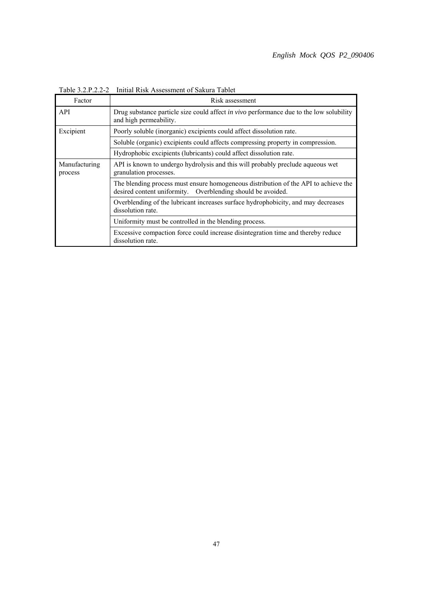| Factor                   | Risk assessment                                                                                                                                    |  |  |  |
|--------------------------|----------------------------------------------------------------------------------------------------------------------------------------------------|--|--|--|
| API                      | Drug substance particle size could affect in vivo performance due to the low solubility<br>and high permeability.                                  |  |  |  |
| Excipient                | Poorly soluble (inorganic) excipients could affect dissolution rate.                                                                               |  |  |  |
|                          | Soluble (organic) excipients could affects compressing property in compression.                                                                    |  |  |  |
|                          | Hydrophobic excipients (lubricants) could affect dissolution rate.                                                                                 |  |  |  |
| Manufacturing<br>process | API is known to undergo hydrolysis and this will probably preclude aqueous wet<br>granulation processes.                                           |  |  |  |
|                          | The blending process must ensure homogeneous distribution of the API to achieve the<br>desired content uniformity. Overblending should be avoided. |  |  |  |
|                          | Overblending of the lubricant increases surface hydrophobicity, and may decreases<br>dissolution rate.                                             |  |  |  |
|                          | Uniformity must be controlled in the blending process.                                                                                             |  |  |  |
|                          | Excessive compaction force could increase disintegration time and thereby reduce<br>dissolution rate.                                              |  |  |  |

Table 3.2.P.2.2-2 Initial Risk Assessment of Sakura Tablet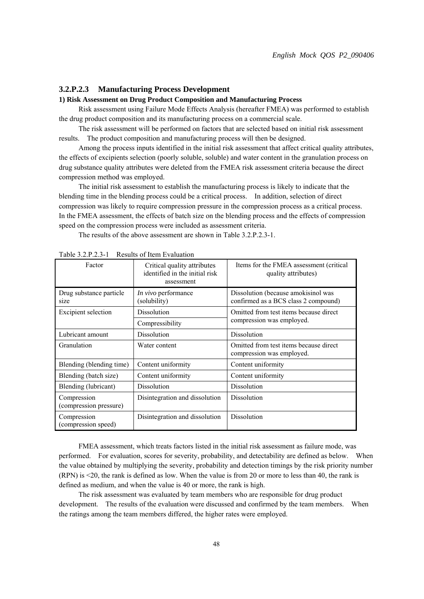#### **3.2.P.2.3 Manufacturing Process Development**

#### **1) Risk Assessment on Drug Product Composition and Manufacturing Process**

 Risk assessment using Failure Mode Effects Analysis (hereafter FMEA) was performed to establish the drug product composition and its manufacturing process on a commercial scale.

 The risk assessment will be performed on factors that are selected based on initial risk assessment results. The product composition and manufacturing process will then be designed.

 Among the process inputs identified in the initial risk assessment that affect critical quality attributes, the effects of excipients selection (poorly soluble, soluble) and water content in the granulation process on drug substance quality attributes were deleted from the FMEA risk assessment criteria because the direct compression method was employed.

 The initial risk assessment to establish the manufacturing process is likely to indicate that the blending time in the blending process could be a critical process. In addition, selection of direct compression was likely to require compression pressure in the compression process as a critical process. In the FMEA assessment, the effects of batch size on the blending process and the effects of compression speed on the compression process were included as assessment criteria.

The results of the above assessment are shown in Table 3.2.P.2.3-1.

| Factor                                | Critical quality attributes<br>identified in the initial risk<br>assessment | Items for the FMEA assessment (critical<br>quality attributes)              |  |
|---------------------------------------|-----------------------------------------------------------------------------|-----------------------------------------------------------------------------|--|
| Drug substance particle<br>size       | In vivo performance<br>(solubility)                                         | Dissolution (because amokisinol was<br>confirmed as a BCS class 2 compound) |  |
| Excipient selection                   | Dissolution                                                                 | Omitted from test items because direct                                      |  |
|                                       | Compressibility                                                             | compression was employed.                                                   |  |
| Lubricant amount                      | Dissolution                                                                 | Dissolution                                                                 |  |
| Granulation                           | Water content                                                               | Omitted from test items because direct<br>compression was employed.         |  |
| Blending (blending time)              | Content uniformity                                                          | Content uniformity                                                          |  |
| Blending (batch size)                 | Content uniformity                                                          | Content uniformity                                                          |  |
| Blending (lubricant)                  | Dissolution                                                                 | <b>Dissolution</b>                                                          |  |
| Compression<br>(compression pressure) | Disintegration and dissolution                                              | <b>Dissolution</b>                                                          |  |
| Compression<br>(compression speed)    | Disintegration and dissolution                                              | Dissolution                                                                 |  |

Table 3.2.P.2.3-1 Results of Item Evaluation

 FMEA assessment, which treats factors listed in the initial risk assessment as failure mode, was performed. For evaluation, scores for severity, probability, and detectability are defined as below. When the value obtained by multiplying the severity, probability and detection timings by the risk priority number (RPN) is <20, the rank is defined as low. When the value is from 20 or more to less than 40, the rank is defined as medium, and when the value is 40 or more, the rank is high.

 The risk assessment was evaluated by team members who are responsible for drug product development. The results of the evaluation were discussed and confirmed by the team members. When the ratings among the team members differed, the higher rates were employed.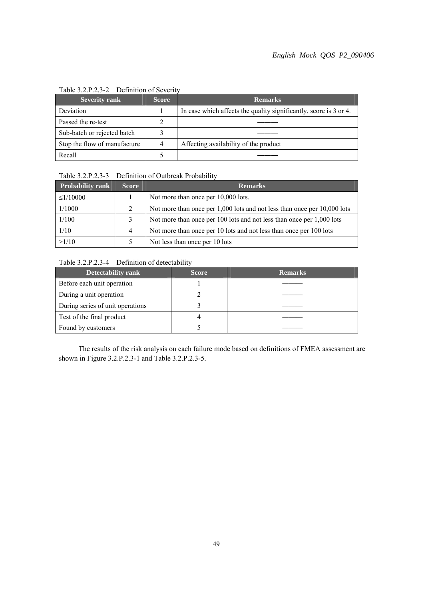| <b>Severity rank</b>         | <b>Score</b> | <b>Remarks</b>                                                    |  |  |
|------------------------------|--------------|-------------------------------------------------------------------|--|--|
| Deviation                    |              | In case which affects the quality significantly, score is 3 or 4. |  |  |
| Passed the re-test           |              |                                                                   |  |  |
| Sub-batch or rejected batch  |              |                                                                   |  |  |
| Stop the flow of manufacture |              | Affecting availability of the product                             |  |  |
| Recall                       |              |                                                                   |  |  |

#### Table 3.2.P.2.3-2 Definition of Severity

# Table 3.2.P.2.3-3 Definition of Outbreak Probability

| <b>Probability rank</b> | <b>Score</b>   | <b>Remarks</b>                                                               |  |  |
|-------------------------|----------------|------------------------------------------------------------------------------|--|--|
| $\leq$ 1/10000          |                | Not more than once per 10,000 lots.                                          |  |  |
| 1/1000                  | 2              | Not more than once per $1,000$ lots and not less than once per $10,000$ lots |  |  |
| 1/100                   | 3              | Not more than once per 100 lots and not less than once per 1,000 lots        |  |  |
| 1/10                    | $\overline{4}$ | Not more than once per 10 lots and not less than once per 100 lots           |  |  |
| >1/10                   |                | Not less than once per 10 lots                                               |  |  |

# Table 3.2.P.2.3-4 Definition of detectability

| <b>Detectability rank</b>        | <b>Score</b> | <b>Remarks</b> |
|----------------------------------|--------------|----------------|
| Before each unit operation       |              |                |
| During a unit operation          |              |                |
| During series of unit operations |              |                |
| Test of the final product        |              |                |
| Found by customers               |              |                |

 The results of the risk analysis on each failure mode based on definitions of FMEA assessment are shown in Figure 3.2.P.2.3-1 and Table 3.2.P.2.3-5.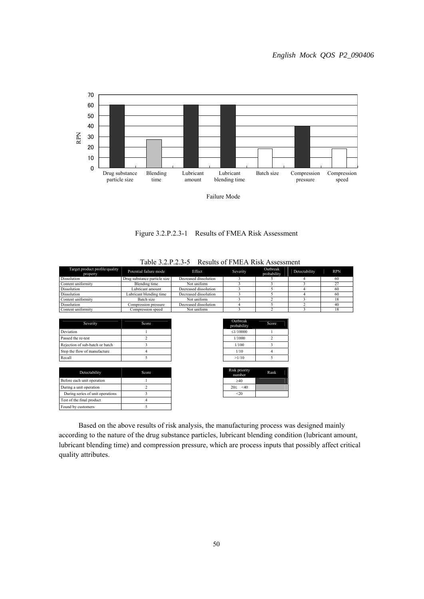

Figure 3.2.P.2.3-1 Results of FMEA Risk Assessment

| Target product profile/quality<br>property | Potential failure mode       | Effect                | Severity                | <b>Outbreak</b><br>probability | Detectability | <b>RPN</b> |
|--------------------------------------------|------------------------------|-----------------------|-------------------------|--------------------------------|---------------|------------|
| Dissolution                                | Drug substance particle size | Decreased dissolution |                         |                                |               | 60         |
| Content uniformity                         | <b>Blending</b> time         | Not uniform           |                         |                                |               | 27         |
| Dissolution                                | Lubricant amount             | Decreased dissolution |                         |                                |               | 60         |
| Dissolution                                | Lubricant blending time      | Decreased dissolution |                         |                                |               | 60         |
| Content uniformity                         | Batch size                   | Not uniform           |                         |                                |               | 18         |
| Dissolution                                | Compression pressure         | Decreased dissolution |                         |                                |               | 40         |
| Content uniformity                         | Compression speed            | Not uniform           |                         | ◠                              |               | 18         |
| Severity                                   | Score                        |                       | Outbreak<br>probability | Score                          |               |            |
| Deviation                                  |                              |                       | $\leq$ 1/10000          |                                |               |            |
| Passed the re-test                         |                              |                       | 1/1000                  |                                |               |            |

| percent                         | ouv   | probability             | ww  |
|---------------------------------|-------|-------------------------|-----|
| Deviation                       |       | $\leq$ 1/10000          |     |
| Passed the re-test              |       | 1/1000                  |     |
| Rejection of sub-batch or batch |       | 1/100                   |     |
| Stop the flow of manufacture    |       | 1/10                    |     |
| Recall                          |       | >1/10                   |     |
|                                 |       |                         |     |
| Detectability                   | Score | Risk priority<br>mumhar | Rar |

| Detectablity                     | ouuc |  |
|----------------------------------|------|--|
| Before each unit operation       |      |  |
| During a unit operation          |      |  |
| During series of unit operations |      |  |
| Test of the final product        |      |  |
| Found by customers               |      |  |

| Outbreak<br>probability | Score |
|-------------------------|-------|
| $\leq$ 1/10000          |       |
| 1/1000                  | 2     |
| 1/100                   |       |
| 1/10                    |       |
| >1/10                   |       |

| Risk priority<br>number | Rank |
|-------------------------|------|
| $\geq 40$               |      |
| $20 \leq 40$            |      |
| < 20                    |      |

 Based on the above results of risk analysis, the manufacturing process was designed mainly according to the nature of the drug substance particles, lubricant blending condition (lubricant amount, lubricant blending time) and compression pressure, which are process inputs that possibly affect critical quality attributes.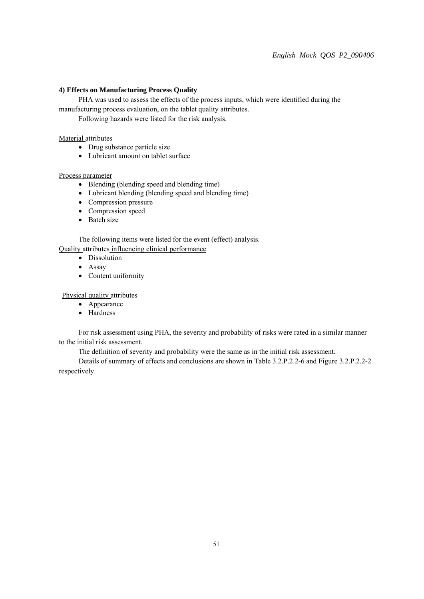### **4) Effects on Manufacturing Process Quality**

 PHA was used to assess the effects of the process inputs, which were identified during the manufacturing process evaluation, on the tablet quality attributes.

Following hazards were listed for the risk analysis.

# Material attributes

- Drug substance particle size
- Lubricant amount on tablet surface

# Process parameter

- Blending (blending speed and blending time)
- Lubricant blending (blending speed and blending time)
- Compression pressure
- Compression speed
- Batch size

The following items were listed for the event (effect) analysis.

Quality attributes influencing clinical performance

- Dissolution
- Assay
- Content uniformity

# Physical quality attributes

- Appearance
- Hardness

 For risk assessment using PHA, the severity and probability of risks were rated in a similar manner to the initial risk assessment.

The definition of severity and probability were the same as in the initial risk assessment.

 Details of summary of effects and conclusions are shown in Table 3.2.P.2.2-6 and Figure 3.2.P.2.2-2 respectively.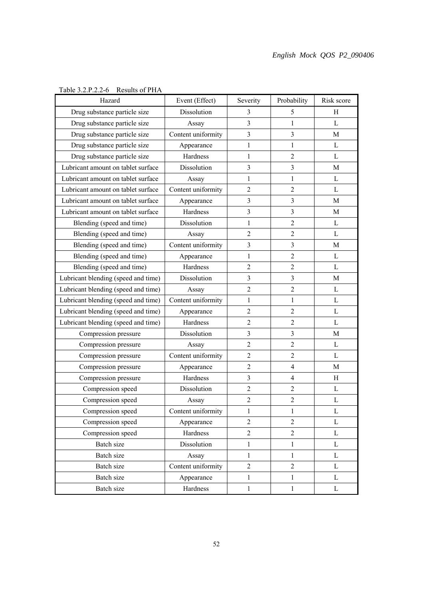| Hazard                              | Event (Effect)     | Severity         | Probability    | Risk score   |
|-------------------------------------|--------------------|------------------|----------------|--------------|
| Drug substance particle size        | Dissolution        | 3                | 5              | Н            |
| Drug substance particle size        | Assay              | $\overline{3}$   | 1              | L            |
| Drug substance particle size        | Content uniformity | 3                | 3              | M            |
| Drug substance particle size        | Appearance         | $\mathbf{1}$     | 1              | L            |
| Drug substance particle size        | Hardness           | $\mathbf{1}$     | $\overline{2}$ | L            |
| Lubricant amount on tablet surface  | Dissolution        | 3                | 3              | M            |
| Lubricant amount on tablet surface  | Assay              | 1                | 1              | L            |
| Lubricant amount on tablet surface  | Content uniformity | $\overline{2}$   | $\overline{2}$ | L            |
| Lubricant amount on tablet surface  | Appearance         | $\overline{3}$   | 3              | M            |
| Lubricant amount on tablet surface  | Hardness           | $\overline{3}$   | $\overline{3}$ | $\mathbf M$  |
| Blending (speed and time)           | Dissolution        | 1                | $\overline{2}$ | L            |
| Blending (speed and time)           | Assay              | $\overline{2}$   | $\overline{2}$ | L            |
| Blending (speed and time)           | Content uniformity | 3                | 3              | M            |
| Blending (speed and time)           | Appearance         | $\mathbf{1}$     | $\overline{2}$ | L            |
| Blending (speed and time)           | Hardness           | $\overline{2}$   | $\overline{2}$ | L            |
| Lubricant blending (speed and time) | Dissolution        | $\overline{3}$   | $\overline{3}$ | M            |
| Lubricant blending (speed and time) | Assay              | $\overline{2}$   | $\overline{2}$ | $\mathbf{L}$ |
| Lubricant blending (speed and time) | Content uniformity | 1                | $\mathbf{1}$   | L            |
| Lubricant blending (speed and time) | Appearance         | $\overline{2}$   | $\overline{2}$ | L            |
| Lubricant blending (speed and time) | Hardness           | $\overline{2}$   | $\overline{2}$ | L            |
| Compression pressure                | Dissolution        | $\overline{3}$   | $\overline{3}$ | $\mathbf M$  |
| Compression pressure                | Assay              | $\overline{2}$   | $\overline{2}$ | L            |
| Compression pressure                | Content uniformity | $\overline{2}$   | $\overline{2}$ | L            |
| Compression pressure                | Appearance         | $\overline{2}$   | $\overline{4}$ | M            |
| Compression pressure                | Hardness           | $\overline{3}$   | $\overline{4}$ | H            |
| Compression speed                   | Dissolution        | $\boldsymbol{2}$ | $\overline{2}$ | L            |
| Compression speed                   | Assay              | $\overline{2}$   | $\overline{c}$ | L            |
| Compression speed                   | Content uniformity | 1                | 1              | L            |
| Compression speed                   | Appearance         | $\overline{2}$   | $\overline{2}$ | L            |
| Compression speed                   | Hardness           | $\overline{2}$   | $\overline{c}$ | L            |
| Batch size                          | Dissolution        | $\mathbf{1}$     | $\,1$          | L            |
| Batch size                          | Assay              | $\mathbf{1}$     | 1              | L            |
| Batch size                          | Content uniformity | $\overline{2}$   | $\overline{2}$ | L            |
| Batch size                          | Appearance         | $\mathbf{1}$     | $\mathbf{1}$   | L            |
| Batch size                          | Hardness           | $\mathbf{1}$     | $\mathbf{1}$   | L            |

# Table 3.2.P.2.2-6 Results of PHA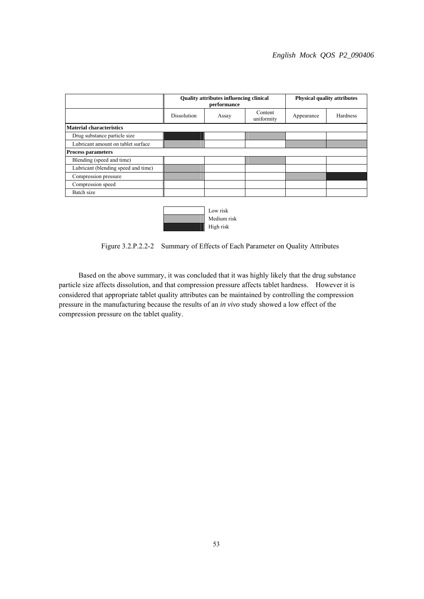| <b>Quality attributes influencing clinical</b><br>performance |       |                       | <b>Physical quality attributes</b> |          |
|---------------------------------------------------------------|-------|-----------------------|------------------------------------|----------|
| <b>Dissolution</b>                                            | Assay | Content<br>uniformity | Appearance                         | Hardness |
|                                                               |       |                       |                                    |          |
|                                                               |       |                       |                                    |          |
|                                                               |       |                       |                                    |          |
|                                                               |       |                       |                                    |          |
|                                                               |       |                       |                                    |          |
|                                                               |       |                       |                                    |          |
|                                                               |       |                       |                                    |          |
|                                                               |       |                       |                                    |          |
|                                                               |       |                       |                                    |          |
|                                                               |       |                       |                                    |          |



Figure 3.2.P.2.2-2 Summary of Effects of Each Parameter on Quality Attributes

 Based on the above summary, it was concluded that it was highly likely that the drug substance particle size affects dissolution, and that compression pressure affects tablet hardness. However it is considered that appropriate tablet quality attributes can be maintained by controlling the compression pressure in the manufacturing because the results of an *in vivo* study showed a low effect of the compression pressure on the tablet quality.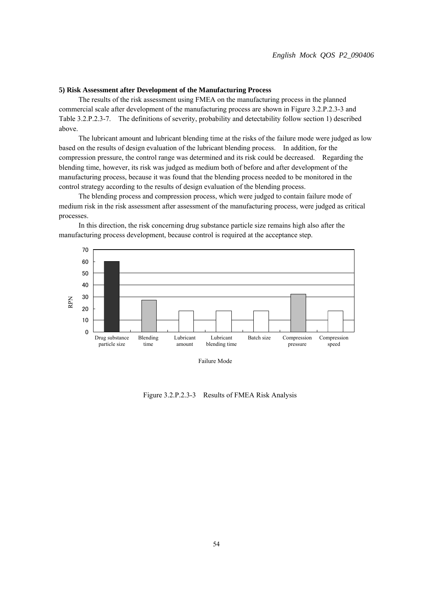#### **5) Risk Assessment after Development of the Manufacturing Process**

 The results of the risk assessment using FMEA on the manufacturing process in the planned commercial scale after development of the manufacturing process are shown in Figure 3.2.P.2.3-3 and Table 3.2.P.2.3-7. The definitions of severity, probability and detectability follow section 1) described above.

 The lubricant amount and lubricant blending time at the risks of the failure mode were judged as low based on the results of design evaluation of the lubricant blending process. In addition, for the compression pressure, the control range was determined and its risk could be decreased. Regarding the blending time, however, its risk was judged as medium both of before and after development of the manufacturing process, because it was found that the blending process needed to be monitored in the control strategy according to the results of design evaluation of the blending process.

 The blending process and compression process, which were judged to contain failure mode of medium risk in the risk assessment after assessment of the manufacturing process, were judged as critical processes.



In this direction, the risk concerning drug substance particle size remains high also after the manufacturing process development, because control is required at the acceptance step.

Failure Mode

Figure 3.2.P.2.3-3 Results of FMEA Risk Analysis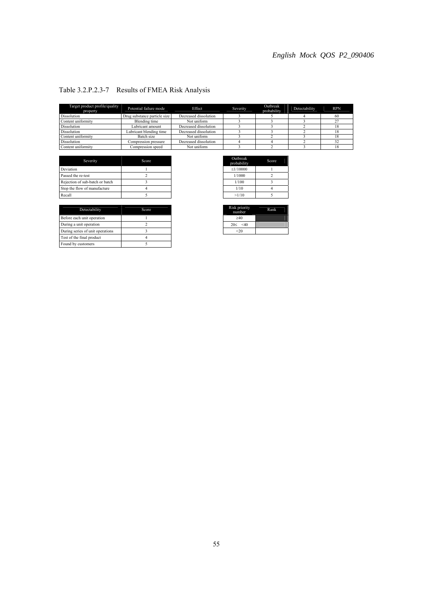| Target product profile/quality<br>property | Potential failure mode       | Effect                | Severity | Outbreak<br>probability | Detectability | <b>RPN</b> |
|--------------------------------------------|------------------------------|-----------------------|----------|-------------------------|---------------|------------|
| Dissolution                                | Drug substance particle size | Decreased dissolution |          |                         |               | 60         |
| Content uniformity                         | Blending time                | Not uniform           |          |                         |               | 27         |
| Dissolution                                | Lubricant amount             | Decreased dissolution |          |                         |               |            |
| Dissolution                                | Lubricant blending time      | Decreased dissolution |          |                         |               |            |
| Content uniformity                         | Batch size                   | Not uniform           |          |                         |               |            |
| Dissolution                                | Compression pressure         | Decreased dissolution |          |                         |               | 32         |
| Content uniformity                         | Compression speed            | Not uniform           |          |                         |               |            |

# Table 3.2.P.2.3-7 Results of FMEA Risk Analysis

| Severity                        | Score | Outbreak<br>probability | Sco |
|---------------------------------|-------|-------------------------|-----|
| Deviation                       |       | $\leq$ 1/10000          |     |
| Passed the re-test              |       | 1/1000                  |     |
| Rejection of sub-batch or batch |       | 1/100                   |     |
| Stop the flow of manufacture    |       | 1/10                    |     |
| Recall                          |       | >1/10                   |     |

| Detectability                    | Score |  |
|----------------------------------|-------|--|
| Before each unit operation       |       |  |
| During a unit operation          |       |  |
| During series of unit operations |       |  |
| Test of the final product        |       |  |
| Found by customers               |       |  |

| Outbreak<br>probability | Score |
|-------------------------|-------|
| $\leq$ 1/10000          |       |
| 1/1000                  | າ     |
| 1/100                   |       |
| 1/10                    |       |
| >1/10                   |       |
|                         |       |

| Risk priority<br>number | Rank |
|-------------------------|------|
| $\geq 40$               |      |
| 20 < 40                 |      |
| <20                     |      |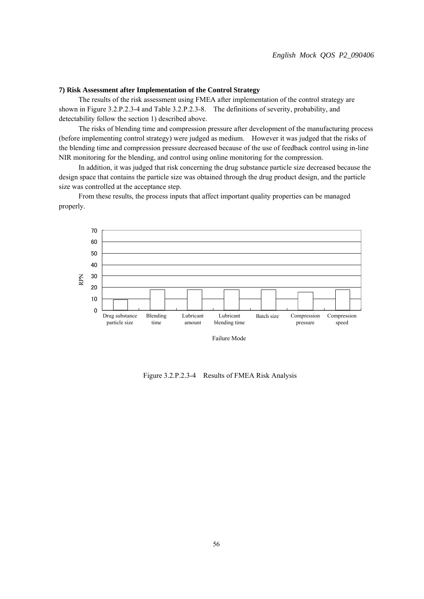#### **7) Risk Assessment after Implementation of the Control Strategy**

 The results of the risk assessment using FMEA after implementation of the control strategy are shown in Figure 3.2.P.2.3-4 and Table 3.2.P.2.3-8. The definitions of severity, probability, and detectability follow the section 1) described above.

 The risks of blending time and compression pressure after development of the manufacturing process (before implementing control strategy) were judged as medium. However it was judged that the risks of the blending time and compression pressure decreased because of the use of feedback control using in-line NIR monitoring for the blending, and control using online monitoring for the compression.

 In addition, it was judged that risk concerning the drug substance particle size decreased because the design space that contains the particle size was obtained through the drug product design, and the particle size was controlled at the acceptance step.

 From these results, the process inputs that affect important quality properties can be managed properly.



Failure Mode

Figure 3.2.P.2.3-4 Results of FMEA Risk Analysis